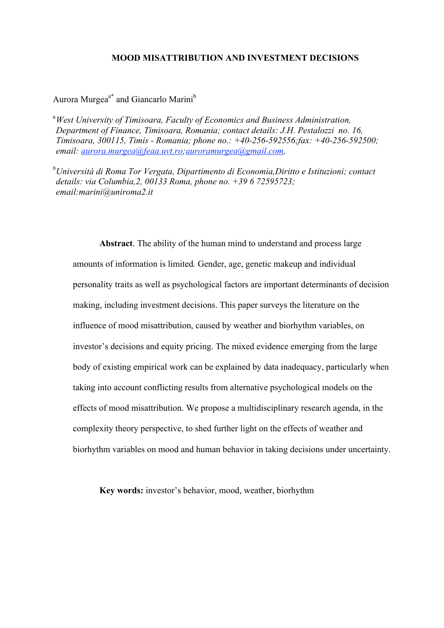# **MOOD MISATTRIBUTION AND INVESTMENT DECISIONS**

# Aurora Murgea<sup>a\*</sup> and Giancarlo Marini<sup>b</sup>

a *West University of Timisoara, Faculty of Economics and Business Administration, Department of Finance, Timisoara, Romania; contact details: J.H. Pestalozzi no. 16, Timisoara, 300115, Timis - Romania; phone no.: +40-256-592556;fax: +40-256-592500; email: aurora.murgea@feaa.uvt.ro;auroramurgea@gmail.com,* 

*b Università di Roma Tor Vergata, Dipartimento di Economia,Diritto e Istituzioni; contact details: via Columbia,2, 00133 Roma, phone no. +39 6 72595723; email:marini@uniroma2.it*

**Abstract**. The ability of the human mind to understand and process large amounts of information is limited*.* Gender, age, genetic makeup and individual personality traits as well as psychological factors are important determinants of decision making, including investment decisions. This paper surveys the literature on the influence of mood misattribution, caused by weather and biorhythm variables, on investor's decisions and equity pricing. The mixed evidence emerging from the large body of existing empirical work can be explained by data inadequacy, particularly when taking into account conflicting results from alternative psychological models on the effects of mood misattribution. We propose a multidisciplinary research agenda, in the complexity theory perspective, to shed further light on the effects of weather and biorhythm variables on mood and human behavior in taking decisions under uncertainty.

**Key words:** investor's behavior, mood, weather, biorhythm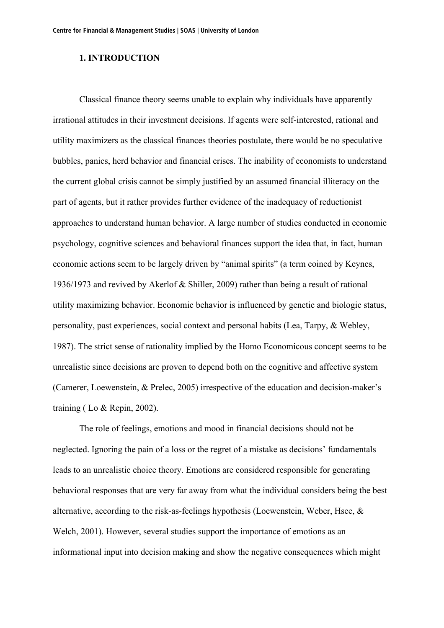### **1. INTRODUCTION**

Classical finance theory seems unable to explain why individuals have apparently irrational attitudes in their investment decisions. If agents were self-interested, rational and utility maximizers as the classical finances theories postulate, there would be no speculative bubbles, panics, herd behavior and financial crises. The inability of economists to understand the current global crisis cannot be simply justified by an assumed financial illiteracy on the part of agents, but it rather provides further evidence of the inadequacy of reductionist approaches to understand human behavior. A large number of studies conducted in economic psychology, cognitive sciences and behavioral finances support the idea that, in fact, human economic actions seem to be largely driven by "animal spirits" (a term coined by Keynes, 1936/1973 and revived by Akerlof & Shiller, 2009) rather than being a result of rational utility maximizing behavior. Economic behavior is influenced by genetic and biologic status, personality, past experiences, social context and personal habits (Lea, Tarpy, & Webley, 1987). The strict sense of rationality implied by the Homo Economicous concept seems to be unrealistic since decisions are proven to depend both on the cognitive and affective system (Camerer, Loewenstein, & Prelec, 2005) irrespective of the education and decision-maker's training ( Lo & Repin, 2002).

The role of feelings, emotions and mood in financial decisions should not be neglected. Ignoring the pain of a loss or the regret of a mistake as decisions' fundamentals leads to an unrealistic choice theory. Emotions are considered responsible for generating behavioral responses that are very far away from what the individual considers being the best alternative, according to the risk-as-feelings hypothesis (Loewenstein, Weber, Hsee, & Welch, 2001). However, several studies support the importance of emotions as an informational input into decision making and show the negative consequences which might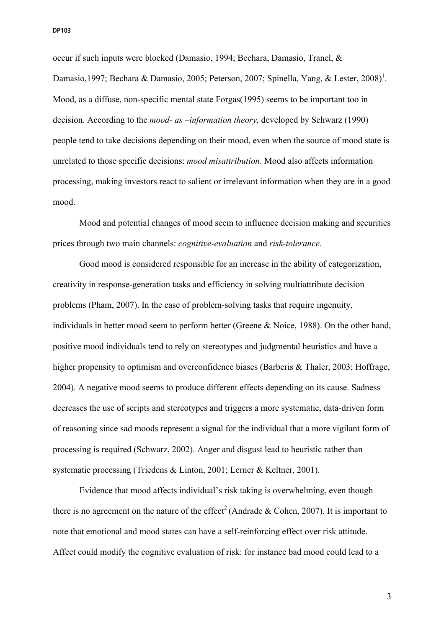occur if such inputs were blocked (Damasio, 1994; Bechara, Damasio, Tranel, & Damasio,1997; Bechara & Damasio, 2005; Peterson, 2007; Spinella, Yang, & Lester, 2008)<sup>1</sup>. Mood, as a diffuse, non-specific mental state Forgas(1995) seems to be important too in decision. According to the *mood- as –information theory,* developed by Schwarz (1990) people tend to take decisions depending on their mood, even when the source of mood state is unrelated to those specific decisions: *mood misattribution*. Mood also affects information processing, making investors react to salient or irrelevant information when they are in a good mood.

Mood and potential changes of mood seem to influence decision making and securities prices through two main channels: *cognitive-evaluation* and *risk-tolerance.*

Good mood is considered responsible for an increase in the ability of categorization, creativity in response-generation tasks and efficiency in solving multiattribute decision problems (Pham, 2007). In the case of problem-solving tasks that require ingenuity, individuals in better mood seem to perform better (Greene & Noice, 1988). On the other hand, positive mood individuals tend to rely on stereotypes and judgmental heuristics and have a higher propensity to optimism and overconfidence biases (Barberis & Thaler, 2003; Hoffrage, 2004). A negative mood seems to produce different effects depending on its cause. Sadness decreases the use of scripts and stereotypes and triggers a more systematic, data-driven form of reasoning since sad moods represent a signal for the individual that a more vigilant form of processing is required (Schwarz, 2002). Anger and disgust lead to heuristic rather than systematic processing (Triedens & Linton, 2001; Lerner & Keltner, 2001).

Evidence that mood affects individual's risk taking is overwhelming, even though there is no agreement on the nature of the effect<sup>2</sup> (Andrade  $& Cohen, 2007$ ). It is important to note that emotional and mood states can have a self-reinforcing effect over risk attitude. Affect could modify the cognitive evaluation of risk: for instance bad mood could lead to a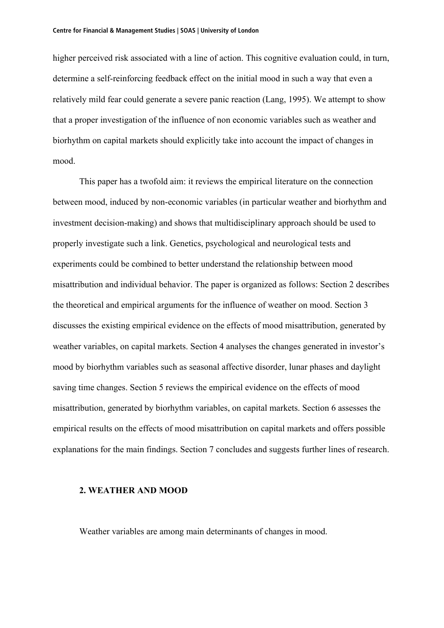higher perceived risk associated with a line of action. This cognitive evaluation could, in turn, determine a self-reinforcing feedback effect on the initial mood in such a way that even a relatively mild fear could generate a severe panic reaction (Lang, 1995). We attempt to show that a proper investigation of the influence of non economic variables such as weather and biorhythm on capital markets should explicitly take into account the impact of changes in mood.

This paper has a twofold aim: it reviews the empirical literature on the connection between mood, induced by non-economic variables (in particular weather and biorhythm and investment decision-making) and shows that multidisciplinary approach should be used to properly investigate such a link. Genetics, psychological and neurological tests and experiments could be combined to better understand the relationship between mood misattribution and individual behavior. The paper is organized as follows: Section 2 describes the theoretical and empirical arguments for the influence of weather on mood. Section 3 discusses the existing empirical evidence on the effects of mood misattribution, generated by weather variables, on capital markets. Section 4 analyses the changes generated in investor's mood by biorhythm variables such as seasonal affective disorder, lunar phases and daylight saving time changes. Section 5 reviews the empirical evidence on the effects of mood misattribution, generated by biorhythm variables, on capital markets. Section 6 assesses the empirical results on the effects of mood misattribution on capital markets and offers possible explanations for the main findings. Section 7 concludes and suggests further lines of research.

#### **2. WEATHER AND MOOD**

Weather variables are among main determinants of changes in mood.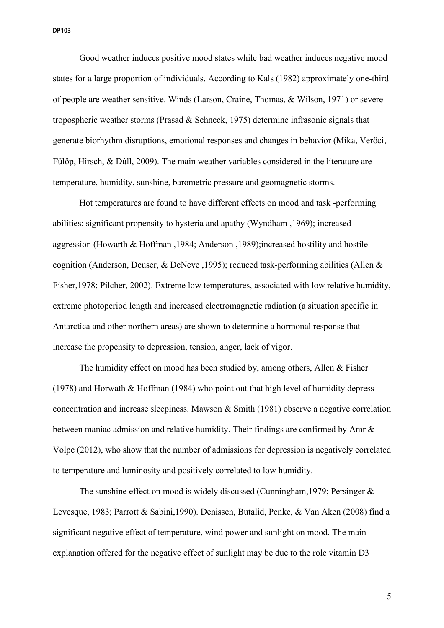Good weather induces positive mood states while bad weather induces negative mood states for a large proportion of individuals. According to Kals (1982) approximately one-third of people are weather sensitive. Winds (Larson, Craine, Thomas, & Wilson, 1971) or severe tropospheric weather storms (Prasad & Schneck, 1975) determine infrasonic signals that generate biorhythm disruptions, emotional responses and changes in behavior (Mika, Veröci, Fülöp, Hirsch, & Dúll, 2009). The main weather variables considered in the literature are temperature, humidity, sunshine, barometric pressure and geomagnetic storms.

Hot temperatures are found to have different effects on mood and task -performing abilities: significant propensity to hysteria and apathy (Wyndham ,1969); increased aggression (Howarth & Hoffman ,1984; Anderson ,1989);increased hostility and hostile cognition (Anderson, Deuser, & DeNeve ,1995); reduced task-performing abilities (Allen & Fisher,1978; Pilcher, 2002). Extreme low temperatures, associated with low relative humidity, extreme photoperiod length and increased electromagnetic radiation (a situation specific in Antarctica and other northern areas) are shown to determine a hormonal response that increase the propensity to depression, tension, anger, lack of vigor.

The humidity effect on mood has been studied by, among others, Allen & Fisher (1978) and Horwath & Hoffman (1984) who point out that high level of humidity depress concentration and increase sleepiness. Mawson & Smith (1981) observe a negative correlation between maniac admission and relative humidity. Their findings are confirmed by Amr & Volpe (2012), who show that the number of admissions for depression is negatively correlated to temperature and luminosity and positively correlated to low humidity.

The sunshine effect on mood is widely discussed (Cunningham,1979; Persinger & Levesque, 1983; Parrott & Sabini,1990). Denissen, Butalid, Penke, & Van Aken (2008) find a significant negative effect of temperature, wind power and sunlight on mood. The main explanation offered for the negative effect of sunlight may be due to the role vitamin D3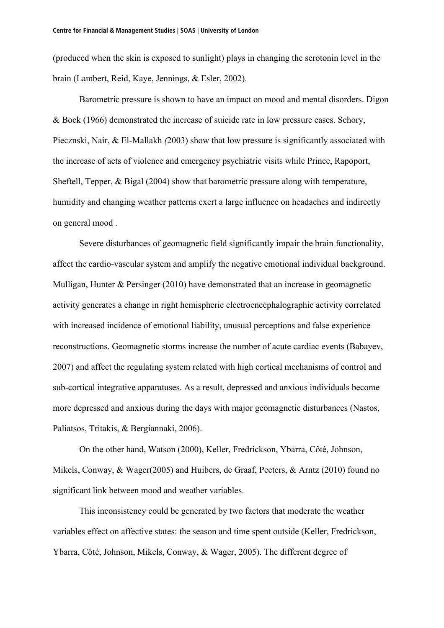(produced when the skin is exposed to sunlight) plays in changing the serotonin level in the brain (Lambert, Reid, Kaye, Jennings, & Esler, 2002).

Barometric pressure is shown to have an impact on mood and mental disorders. Digon & Bock (1966) demonstrated the increase of suicide rate in low pressure cases. Schory, Piecznski, Nair, & El-Mallakh *(*2003) show that low pressure is significantly associated with the increase of acts of violence and emergency psychiatric visits while Prince, Rapoport, Sheftell, Tepper, & Bigal (2004) show that barometric pressure along with temperature, humidity and changing weather patterns exert a large influence on headaches and indirectly on general mood .

Severe disturbances of geomagnetic field significantly impair the brain functionality, affect the cardio-vascular system and amplify the negative emotional individual background. Mulligan, Hunter  $&$  Persinger (2010) have demonstrated that an increase in geomagnetic activity generates a change in right hemispheric electroencephalographic activity correlated with increased incidence of emotional liability, unusual perceptions and false experience reconstructions. Geomagnetic storms increase the number of acute cardiac events (Babayev, 2007) and affect the regulating system related with high cortical mechanisms of control and sub-cortical integrative apparatuses. As a result, depressed and anxious individuals become more depressed and anxious during the days with major geomagnetic disturbances (Nastos, Paliatsos, Tritakis, & Bergiannaki, 2006).

On the other hand, Watson (2000), Keller, Fredrickson, Ybarra, Côté, Johnson, Mikels, Conway, & Wager(2005) and Huibers, de Graaf, Peeters, & Arntz (2010) found no significant link between mood and weather variables.

This inconsistency could be generated by two factors that moderate the weather variables effect on affective states: the season and time spent outside (Keller, Fredrickson, Ybarra, Côté, Johnson, Mikels, Conway, & Wager, 2005). The different degree of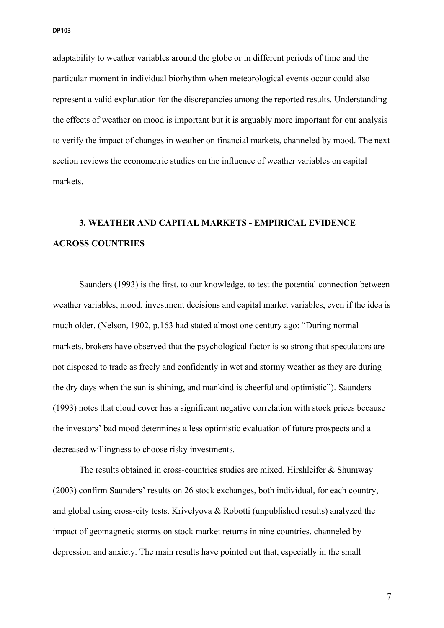adaptability to weather variables around the globe or in different periods of time and the particular moment in individual biorhythm when meteorological events occur could also represent a valid explanation for the discrepancies among the reported results. Understanding the effects of weather on mood is important but it is arguably more important for our analysis to verify the impact of changes in weather on financial markets, channeled by mood. The next section reviews the econometric studies on the influence of weather variables on capital markets.

# **3. WEATHER AND CAPITAL MARKETS - EMPIRICAL EVIDENCE ACROSS COUNTRIES**

Saunders (1993) is the first, to our knowledge, to test the potential connection between weather variables, mood, investment decisions and capital market variables, even if the idea is much older. (Nelson, 1902, p.163 had stated almost one century ago: "During normal markets, brokers have observed that the psychological factor is so strong that speculators are not disposed to trade as freely and confidently in wet and stormy weather as they are during the dry days when the sun is shining, and mankind is cheerful and optimistic"). Saunders (1993) notes that cloud cover has a significant negative correlation with stock prices because the investors' bad mood determines a less optimistic evaluation of future prospects and a decreased willingness to choose risky investments.

The results obtained in cross-countries studies are mixed. Hirshleifer & Shumway (2003) confirm Saunders' results on 26 stock exchanges, both individual, for each country, and global using cross-city tests. Krivelyova & Robotti (unpublished results) analyzed the impact of geomagnetic storms on stock market returns in nine countries, channeled by depression and anxiety. The main results have pointed out that, especially in the small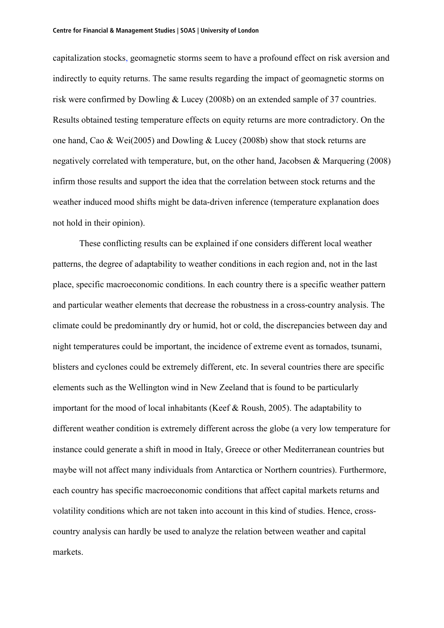capitalization stocks, geomagnetic storms seem to have a profound effect on risk aversion and indirectly to equity returns. The same results regarding the impact of geomagnetic storms on risk were confirmed by Dowling & Lucey (2008b) on an extended sample of 37 countries. Results obtained testing temperature effects on equity returns are more contradictory. On the one hand, Cao & Wei(2005) and Dowling & Lucey (2008b) show that stock returns are negatively correlated with temperature, but, on the other hand, Jacobsen & Marquering (2008) infirm those results and support the idea that the correlation between stock returns and the weather induced mood shifts might be data-driven inference (temperature explanation does not hold in their opinion).

These conflicting results can be explained if one considers different local weather patterns, the degree of adaptability to weather conditions in each region and, not in the last place, specific macroeconomic conditions. In each country there is a specific weather pattern and particular weather elements that decrease the robustness in a cross-country analysis. The climate could be predominantly dry or humid, hot or cold, the discrepancies between day and night temperatures could be important, the incidence of extreme event as tornados, tsunami, blisters and cyclones could be extremely different, etc. In several countries there are specific elements such as the Wellington wind in New Zeeland that is found to be particularly important for the mood of local inhabitants (Keef & Roush, 2005). The adaptability to different weather condition is extremely different across the globe (a very low temperature for instance could generate a shift in mood in Italy, Greece or other Mediterranean countries but maybe will not affect many individuals from Antarctica or Northern countries). Furthermore, each country has specific macroeconomic conditions that affect capital markets returns and volatility conditions which are not taken into account in this kind of studies. Hence, crosscountry analysis can hardly be used to analyze the relation between weather and capital markets.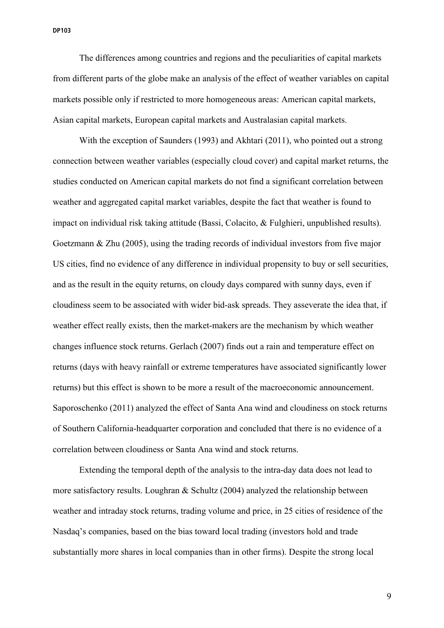The differences among countries and regions and the peculiarities of capital markets from different parts of the globe make an analysis of the effect of weather variables on capital markets possible only if restricted to more homogeneous areas: American capital markets, Asian capital markets, European capital markets and Australasian capital markets.

With the exception of Saunders (1993) and Akhtari (2011), who pointed out a strong connection between weather variables (especially cloud cover) and capital market returns, the studies conducted on American capital markets do not find a significant correlation between weather and aggregated capital market variables, despite the fact that weather is found to impact on individual risk taking attitude (Bassi, Colacito, & Fulghieri, unpublished results). Goetzmann & Zhu (2005), using the trading records of individual investors from five major US cities, find no evidence of any difference in individual propensity to buy or sell securities, and as the result in the equity returns, on cloudy days compared with sunny days, even if cloudiness seem to be associated with wider bid-ask spreads. They asseverate the idea that, if weather effect really exists, then the market-makers are the mechanism by which weather changes influence stock returns. Gerlach (2007) finds out a rain and temperature effect on returns (days with heavy rainfall or extreme temperatures have associated significantly lower returns) but this effect is shown to be more a result of the macroeconomic announcement. Saporoschenko (2011) analyzed the effect of Santa Ana wind and cloudiness on stock returns of Southern California-headquarter corporation and concluded that there is no evidence of a correlation between cloudiness or Santa Ana wind and stock returns.

Extending the temporal depth of the analysis to the intra-day data does not lead to more satisfactory results. Loughran & Schultz (2004) analyzed the relationship between weather and intraday stock returns, trading volume and price, in 25 cities of residence of the Nasdaq's companies, based on the bias toward local trading (investors hold and trade substantially more shares in local companies than in other firms). Despite the strong local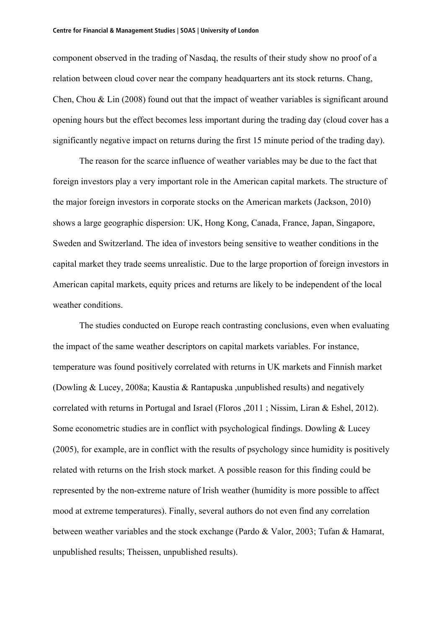component observed in the trading of Nasdaq, the results of their study show no proof of a relation between cloud cover near the company headquarters ant its stock returns. Chang, Chen, Chou & Lin (2008) found out that the impact of weather variables is significant around opening hours but the effect becomes less important during the trading day (cloud cover has a significantly negative impact on returns during the first 15 minute period of the trading day).

The reason for the scarce influence of weather variables may be due to the fact that foreign investors play a very important role in the American capital markets. The structure of the major foreign investors in corporate stocks on the American markets (Jackson, 2010) shows a large geographic dispersion: UK, Hong Kong, Canada, France, Japan, Singapore, Sweden and Switzerland. The idea of investors being sensitive to weather conditions in the capital market they trade seems unrealistic. Due to the large proportion of foreign investors in American capital markets, equity prices and returns are likely to be independent of the local weather conditions.

The studies conducted on Europe reach contrasting conclusions, even when evaluating the impact of the same weather descriptors on capital markets variables. For instance, temperature was found positively correlated with returns in UK markets and Finnish market (Dowling & Lucey, 2008a; Kaustia & Rantapuska ,unpublished results) and negatively correlated with returns in Portugal and Israel (Floros ,2011 ; Nissim, Liran & Eshel, 2012). Some econometric studies are in conflict with psychological findings. Dowling & Lucey (2005), for example, are in conflict with the results of psychology since humidity is positively related with returns on the Irish stock market. A possible reason for this finding could be represented by the non-extreme nature of Irish weather (humidity is more possible to affect mood at extreme temperatures). Finally, several authors do not even find any correlation between weather variables and the stock exchange (Pardo & Valor, 2003; Tufan & Hamarat, unpublished results; Theissen, unpublished results).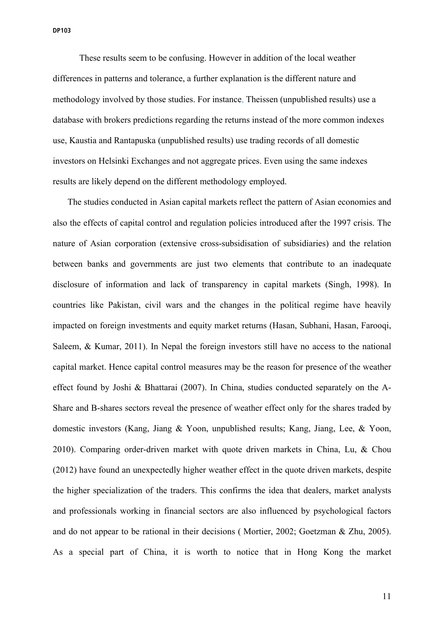These results seem to be confusing. However in addition of the local weather differences in patterns and tolerance, a further explanation is the different nature and methodology involved by those studies. For instance, Theissen (unpublished results) use a database with brokers predictions regarding the returns instead of the more common indexes use, Kaustia and Rantapuska (unpublished results) use trading records of all domestic investors on Helsinki Exchanges and not aggregate prices. Even using the same indexes results are likely depend on the different methodology employed.

The studies conducted in Asian capital markets reflect the pattern of Asian economies and also the effects of capital control and regulation policies introduced after the 1997 crisis. The nature of Asian corporation (extensive cross-subsidisation of subsidiaries) and the relation between banks and governments are just two elements that contribute to an inadequate disclosure of information and lack of transparency in capital markets (Singh, 1998). In countries like Pakistan, civil wars and the changes in the political regime have heavily impacted on foreign investments and equity market returns (Hasan, Subhani, Hasan, Farooqi, Saleem, & Kumar, 2011). In Nepal the foreign investors still have no access to the national capital market. Hence capital control measures may be the reason for presence of the weather effect found by Joshi & Bhattarai (2007). In China, studies conducted separately on the A-Share and B-shares sectors reveal the presence of weather effect only for the shares traded by domestic investors (Kang, Jiang & Yoon, unpublished results; Kang, Jiang, Lee, & Yoon, 2010). Comparing order-driven market with quote driven markets in China, Lu, & Chou (2012) have found an unexpectedly higher weather effect in the quote driven markets, despite the higher specialization of the traders. This confirms the idea that dealers, market analysts and professionals working in financial sectors are also influenced by psychological factors and do not appear to be rational in their decisions ( Mortier, 2002; Goetzman & Zhu, 2005). As a special part of China, it is worth to notice that in Hong Kong the market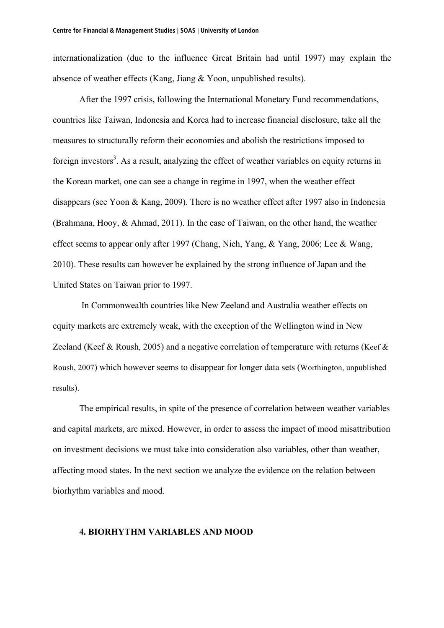internationalization (due to the influence Great Britain had until 1997) may explain the absence of weather effects (Kang, Jiang & Yoon, unpublished results).

After the 1997 crisis, following the International Monetary Fund recommendations, countries like Taiwan, Indonesia and Korea had to increase financial disclosure, take all the measures to structurally reform their economies and abolish the restrictions imposed to foreign investors<sup>3</sup>. As a result, analyzing the effect of weather variables on equity returns in the Korean market, one can see a change in regime in 1997, when the weather effect disappears (see Yoon & Kang, 2009). There is no weather effect after 1997 also in Indonesia (Brahmana, Hooy, & Ahmad, 2011). In the case of Taiwan, on the other hand, the weather effect seems to appear only after 1997 (Chang, Nieh, Yang, & Yang, 2006; Lee & Wang, 2010). These results can however be explained by the strong influence of Japan and the United States on Taiwan prior to 1997.

 In Commonwealth countries like New Zeeland and Australia weather effects on equity markets are extremely weak, with the exception of the Wellington wind in New Zeeland (Keef & Roush, 2005) and a negative correlation of temperature with returns (Keef & Roush, 2007) which however seems to disappear for longer data sets (Worthington, unpublished results).

The empirical results, in spite of the presence of correlation between weather variables and capital markets, are mixed. However, in order to assess the impact of mood misattribution on investment decisions we must take into consideration also variables, other than weather, affecting mood states. In the next section we analyze the evidence on the relation between biorhythm variables and mood.

#### **4. BIORHYTHM VARIABLES AND MOOD**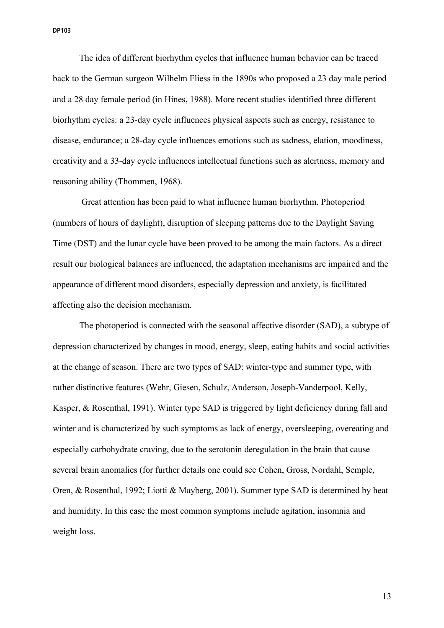The idea of different biorhythm cycles that influence human behavior can be traced back to the German surgeon Wilhelm Fliess in the 1890s who proposed a 23 day male period and a 28 day female period (in Hines, 1988). More recent studies identified three different biorhythm cycles: a 23-day cycle influences physical aspects such as energy, resistance to disease, endurance; a 28-day cycle influences emotions such as sadness, elation, moodiness, creativity and a 33-day cycle influences intellectual functions such as alertness, memory and reasoning ability (Thommen, 1968).

 Great attention has been paid to what influence human biorhythm. Photoperiod (numbers of hours of daylight), disruption of sleeping patterns due to the Daylight Saving Time (DST) and the lunar cycle have been proved to be among the main factors. As a direct result our biological balances are influenced, the adaptation mechanisms are impaired and the appearance of different mood disorders, especially depression and anxiety, is facilitated affecting also the decision mechanism.

The photoperiod is connected with the seasonal affective disorder (SAD), a subtype of depression characterized by changes in mood, energy, sleep, eating habits and social activities at the change of season. There are two types of SAD: winter-type and summer type, with rather distinctive features (Wehr, Giesen, Schulz, Anderson, Joseph-Vanderpool, Kelly, Kasper, & Rosenthal, 1991). Winter type SAD is triggered by light deficiency during fall and winter and is characterized by such symptoms as lack of energy, oversleeping, overeating and especially carbohydrate craving, due to the serotonin deregulation in the brain that cause several brain anomalies (for further details one could see Cohen, Gross, Nordahl, Semple, Oren, & Rosenthal, 1992; Liotti & Mayberg, 2001). Summer type SAD is determined by heat and humidity. In this case the most common symptoms include agitation, insomnia and weight loss.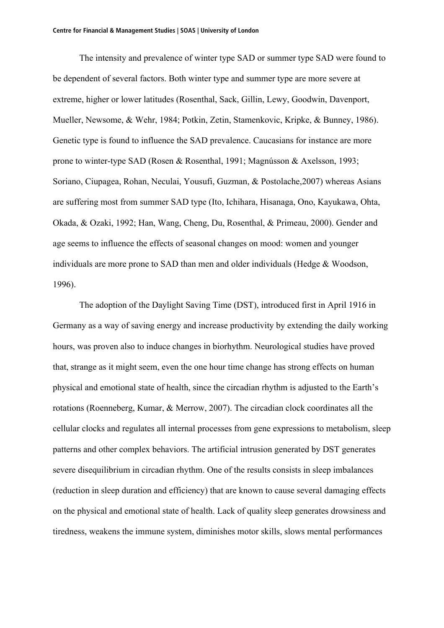The intensity and prevalence of winter type SAD or summer type SAD were found to be dependent of several factors. Both winter type and summer type are more severe at extreme, higher or lower latitudes (Rosenthal, Sack, Gillin, Lewy, Goodwin, Davenport, Mueller, Newsome, & Wehr, 1984; Potkin, Zetin, Stamenkovic, Kripke, & Bunney, 1986). Genetic type is found to influence the SAD prevalence. Caucasians for instance are more prone to winter-type SAD (Rosen & Rosenthal, 1991; Magnússon & Axelsson, 1993; Soriano, Ciupagea, Rohan, Neculai, Yousufi, Guzman, & Postolache,2007) whereas Asians are suffering most from summer SAD type (Ito, Ichihara, Hisanaga, Ono, Kayukawa, Ohta, Okada, & Ozaki, 1992; Han, Wang, Cheng, Du, Rosenthal, & Primeau, 2000). Gender and age seems to influence the effects of seasonal changes on mood: women and younger individuals are more prone to SAD than men and older individuals (Hedge & Woodson, 1996).

The adoption of the Daylight Saving Time (DST), introduced first in April 1916 in Germany as a way of saving energy and increase productivity by extending the daily working hours, was proven also to induce changes in biorhythm. Neurological studies have proved that, strange as it might seem, even the one hour time change has strong effects on human physical and emotional state of health, since the circadian rhythm is adjusted to the Earth's rotations (Roenneberg, Kumar, & Merrow, 2007). The circadian clock coordinates all the cellular clocks and regulates all internal processes from gene expressions to metabolism, sleep patterns and other complex behaviors. The artificial intrusion generated by DST generates severe disequilibrium in circadian rhythm. One of the results consists in sleep imbalances (reduction in sleep duration and efficiency) that are known to cause several damaging effects on the physical and emotional state of health. Lack of quality sleep generates drowsiness and tiredness, weakens the immune system, diminishes motor skills, slows mental performances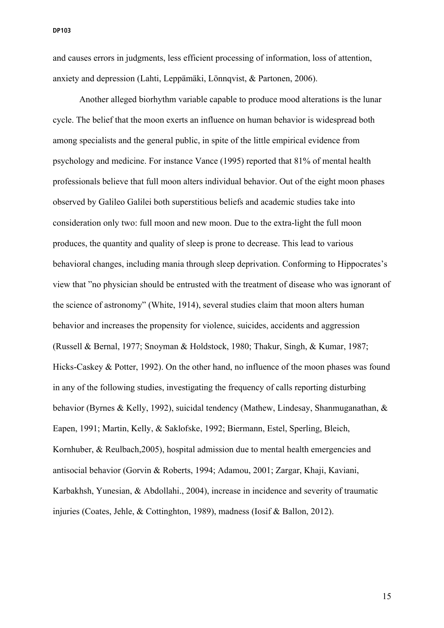and causes errors in judgments, less efficient processing of information, loss of attention, anxiety and depression (Lahti, Leppämäki, Lönnqvist, & Partonen, 2006).

Another alleged biorhythm variable capable to produce mood alterations is the lunar cycle. The belief that the moon exerts an influence on human behavior is widespread both among specialists and the general public, in spite of the little empirical evidence from psychology and medicine. For instance Vance (1995) reported that 81% of mental health professionals believe that full moon alters individual behavior. Out of the eight moon phases observed by Galileo Galilei both superstitious beliefs and academic studies take into consideration only two: full moon and new moon. Due to the extra-light the full moon produces, the quantity and quality of sleep is prone to decrease. This lead to various behavioral changes, including mania through sleep deprivation. Conforming to Hippocrates's view that "no physician should be entrusted with the treatment of disease who was ignorant of the science of astronomy" (White, 1914), several studies claim that moon alters human behavior and increases the propensity for violence, suicides, accidents and aggression (Russell & Bernal, 1977; Snoyman & Holdstock, 1980; Thakur, Singh, & Kumar, 1987; Hicks-Caskey & Potter, 1992). On the other hand, no influence of the moon phases was found in any of the following studies, investigating the frequency of calls reporting disturbing behavior (Byrnes & Kelly, 1992), suicidal tendency (Mathew, Lindesay, Shanmuganathan, & Eapen, 1991; Martin, Kelly, & Saklofske, 1992; Biermann, Estel, Sperling, Bleich, Kornhuber, & Reulbach,2005), hospital admission due to mental health emergencies and antisocial behavior (Gorvin & Roberts, 1994; Adamou, 2001; Zargar, Khaji, Kaviani, Karbakhsh, Yunesian, & Abdollahi., 2004), increase in incidence and severity of traumatic injuries (Coates, Jehle, & Cottinghton, 1989), madness (Iosif & Ballon, 2012).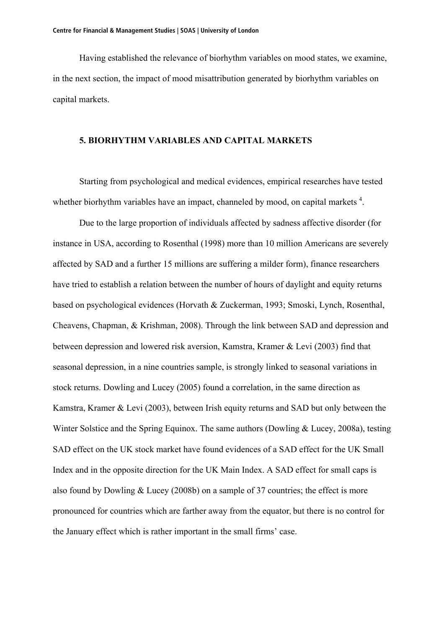Having established the relevance of biorhythm variables on mood states, we examine, in the next section, the impact of mood misattribution generated by biorhythm variables on capital markets.

#### **5. BIORHYTHM VARIABLES AND CAPITAL MARKETS**

Starting from psychological and medical evidences, empirical researches have tested whether biorhythm variables have an impact, channeled by mood, on capital markets  $4$ .

Due to the large proportion of individuals affected by sadness affective disorder (for instance in USA, according to Rosenthal (1998) more than 10 million Americans are severely affected by SAD and a further 15 millions are suffering a milder form), finance researchers have tried to establish a relation between the number of hours of daylight and equity returns based on psychological evidences (Horvath & Zuckerman, 1993; Smoski, Lynch, Rosenthal, Cheavens, Chapman, & Krishman, 2008). Through the link between SAD and depression and between depression and lowered risk aversion, Kamstra, Kramer & Levi (2003) find that seasonal depression, in a nine countries sample, is strongly linked to seasonal variations in stock returns. Dowling and Lucey (2005) found a correlation, in the same direction as Kamstra, Kramer & Levi (2003), between Irish equity returns and SAD but only between the Winter Solstice and the Spring Equinox. The same authors (Dowling & Lucey, 2008a), testing SAD effect on the UK stock market have found evidences of a SAD effect for the UK Small Index and in the opposite direction for the UK Main Index. A SAD effect for small caps is also found by Dowling & Lucey (2008b) on a sample of 37 countries; the effect is more pronounced for countries which are farther away from the equator, but there is no control for the January effect which is rather important in the small firms' case.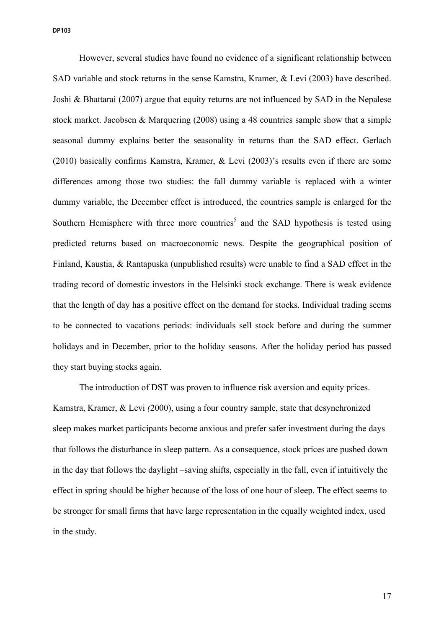However, several studies have found no evidence of a significant relationship between SAD variable and stock returns in the sense Kamstra, Kramer, & Levi (2003) have described. Joshi & Bhattarai (2007) argue that equity returns are not influenced by SAD in the Nepalese stock market. Jacobsen & Marquering (2008) using a 48 countries sample show that a simple seasonal dummy explains better the seasonality in returns than the SAD effect. Gerlach (2010) basically confirms Kamstra, Kramer, & Levi (2003)'s results even if there are some differences among those two studies: the fall dummy variable is replaced with a winter dummy variable, the December effect is introduced, the countries sample is enlarged for the Southern Hemisphere with three more countries<sup>5</sup> and the SAD hypothesis is tested using predicted returns based on macroeconomic news. Despite the geographical position of Finland, Kaustia, & Rantapuska (unpublished results) were unable to find a SAD effect in the trading record of domestic investors in the Helsinki stock exchange. There is weak evidence that the length of day has a positive effect on the demand for stocks. Individual trading seems to be connected to vacations periods: individuals sell stock before and during the summer holidays and in December, prior to the holiday seasons. After the holiday period has passed they start buying stocks again.

The introduction of DST was proven to influence risk aversion and equity prices. Kamstra, Kramer, & Levi *(*2000), using a four country sample, state that desynchronized sleep makes market participants become anxious and prefer safer investment during the days that follows the disturbance in sleep pattern. As a consequence, stock prices are pushed down in the day that follows the daylight –saving shifts, especially in the fall, even if intuitively the effect in spring should be higher because of the loss of one hour of sleep. The effect seems to be stronger for small firms that have large representation in the equally weighted index, used in the study.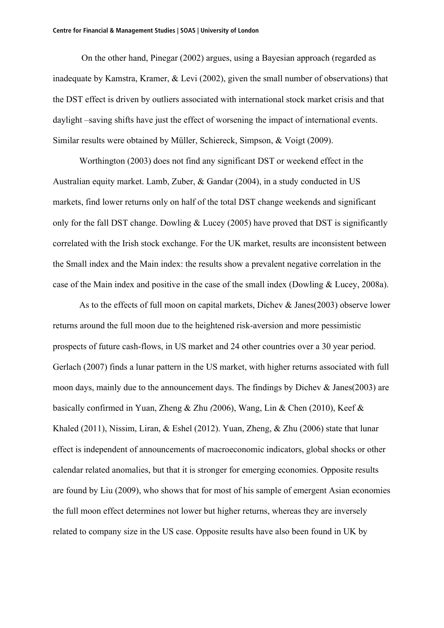On the other hand, Pinegar (2002) argues, using a Bayesian approach (regarded as inadequate by Kamstra, Kramer, & Levi (2002), given the small number of observations) that the DST effect is driven by outliers associated with international stock market crisis and that daylight –saving shifts have just the effect of worsening the impact of international events. Similar results were obtained by Müller, Schiereck, Simpson, & Voigt (2009).

Worthington (2003) does not find any significant DST or weekend effect in the Australian equity market. Lamb, Zuber, & Gandar (2004), in a study conducted in US markets, find lower returns only on half of the total DST change weekends and significant only for the fall DST change. Dowling  $& \text{Lucey (2005)}$  have proved that DST is significantly correlated with the Irish stock exchange. For the UK market, results are inconsistent between the Small index and the Main index: the results show a prevalent negative correlation in the case of the Main index and positive in the case of the small index (Dowling & Lucey, 2008a).

As to the effects of full moon on capital markets, Dichev & Janes(2003) observe lower returns around the full moon due to the heightened risk-aversion and more pessimistic prospects of future cash-flows, in US market and 24 other countries over a 30 year period. Gerlach (2007) finds a lunar pattern in the US market, with higher returns associated with full moon days, mainly due to the announcement days. The findings by Dichev & Janes(2003) are basically confirmed in Yuan, Zheng & Zhu *(*2006), Wang, Lin & Chen (2010), Keef & Khaled (2011), Nissim, Liran, & Eshel (2012). Yuan, Zheng, & Zhu (2006) state that lunar effect is independent of announcements of macroeconomic indicators, global shocks or other calendar related anomalies, but that it is stronger for emerging economies. Opposite results are found by Liu (2009), who shows that for most of his sample of emergent Asian economies the full moon effect determines not lower but higher returns, whereas they are inversely related to company size in the US case. Opposite results have also been found in UK by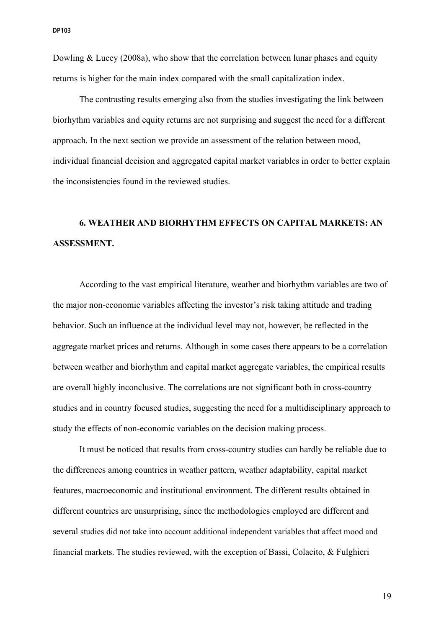Dowling  $& Lucey (2008a)$ , who show that the correlation between lunar phases and equity returns is higher for the main index compared with the small capitalization index.

The contrasting results emerging also from the studies investigating the link between biorhythm variables and equity returns are not surprising and suggest the need for a different approach. In the next section we provide an assessment of the relation between mood, individual financial decision and aggregated capital market variables in order to better explain the inconsistencies found in the reviewed studies.

# **6. WEATHER AND BIORHYTHM EFFECTS ON CAPITAL MARKETS: AN ASSESSMENT.**

According to the vast empirical literature, weather and biorhythm variables are two of the major non-economic variables affecting the investor's risk taking attitude and trading behavior. Such an influence at the individual level may not, however, be reflected in the aggregate market prices and returns. Although in some cases there appears to be a correlation between weather and biorhythm and capital market aggregate variables, the empirical results are overall highly inconclusive. The correlations are not significant both in cross-country studies and in country focused studies, suggesting the need for a multidisciplinary approach to study the effects of non-economic variables on the decision making process.

It must be noticed that results from cross-country studies can hardly be reliable due to the differences among countries in weather pattern, weather adaptability, capital market features, macroeconomic and institutional environment. The different results obtained in different countries are unsurprising, since the methodologies employed are different and several studies did not take into account additional independent variables that affect mood and financial markets. The studies reviewed, with the exception of Bassi, Colacito, & Fulghieri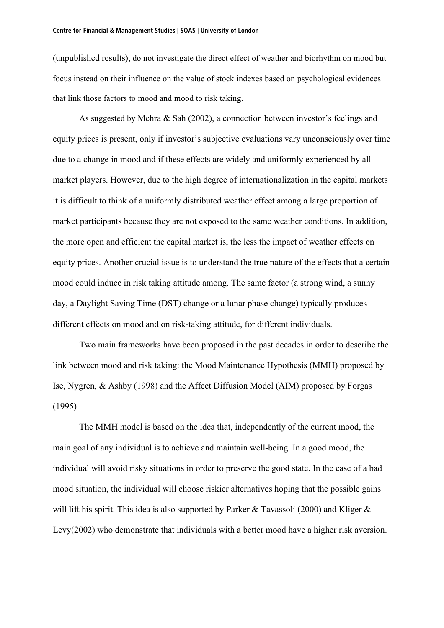(unpublished results), do not investigate the direct effect of weather and biorhythm on mood but focus instead on their influence on the value of stock indexes based on psychological evidences that link those factors to mood and mood to risk taking.

As suggested by Mehra & Sah (2002), a connection between investor's feelings and equity prices is present, only if investor's subjective evaluations vary unconsciously over time due to a change in mood and if these effects are widely and uniformly experienced by all market players. However, due to the high degree of internationalization in the capital markets it is difficult to think of a uniformly distributed weather effect among a large proportion of market participants because they are not exposed to the same weather conditions. In addition, the more open and efficient the capital market is, the less the impact of weather effects on equity prices. Another crucial issue is to understand the true nature of the effects that a certain mood could induce in risk taking attitude among. The same factor (a strong wind, a sunny day, a Daylight Saving Time (DST) change or a lunar phase change) typically produces different effects on mood and on risk-taking attitude, for different individuals.

Two main frameworks have been proposed in the past decades in order to describe the link between mood and risk taking: the Mood Maintenance Hypothesis (MMH) proposed by Ise, Nygren, & Ashby (1998) and the Affect Diffusion Model (AIM) proposed by Forgas (1995)

The MMH model is based on the idea that, independently of the current mood, the main goal of any individual is to achieve and maintain well-being. In a good mood, the individual will avoid risky situations in order to preserve the good state. In the case of a bad mood situation, the individual will choose riskier alternatives hoping that the possible gains will lift his spirit. This idea is also supported by Parker & Tavassoli (2000) and Kliger & Levy(2002) who demonstrate that individuals with a better mood have a higher risk aversion.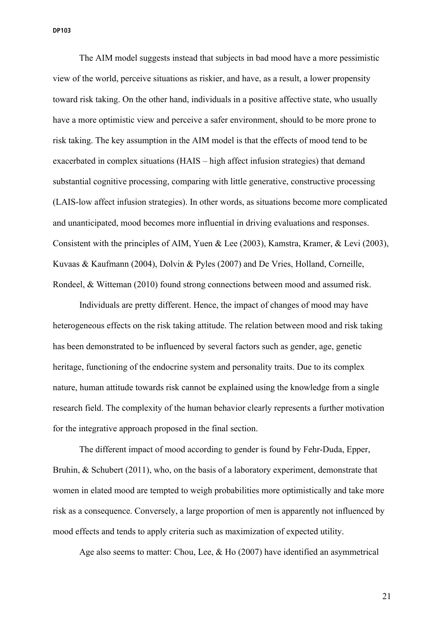The AIM model suggests instead that subjects in bad mood have a more pessimistic view of the world, perceive situations as riskier, and have, as a result, a lower propensity toward risk taking. On the other hand, individuals in a positive affective state, who usually have a more optimistic view and perceive a safer environment, should to be more prone to risk taking. The key assumption in the AIM model is that the effects of mood tend to be exacerbated in complex situations (HAIS – high affect infusion strategies) that demand substantial cognitive processing, comparing with little generative, constructive processing (LAIS-low affect infusion strategies). In other words, as situations become more complicated and unanticipated, mood becomes more influential in driving evaluations and responses. Consistent with the principles of AIM, Yuen & Lee (2003), Kamstra, Kramer, & Levi (2003), Kuvaas & Kaufmann (2004), Dolvin & Pyles (2007) and De Vries, Holland, Corneille, Rondeel, & Witteman (2010) found strong connections between mood and assumed risk.

Individuals are pretty different. Hence, the impact of changes of mood may have heterogeneous effects on the risk taking attitude. The relation between mood and risk taking has been demonstrated to be influenced by several factors such as gender, age, genetic heritage, functioning of the endocrine system and personality traits. Due to its complex nature, human attitude towards risk cannot be explained using the knowledge from a single research field. The complexity of the human behavior clearly represents a further motivation for the integrative approach proposed in the final section.

The different impact of mood according to gender is found by Fehr-Duda, Epper, Bruhin, & Schubert (2011), who, on the basis of a laboratory experiment, demonstrate that women in elated mood are tempted to weigh probabilities more optimistically and take more risk as a consequence. Conversely, a large proportion of men is apparently not influenced by mood effects and tends to apply criteria such as maximization of expected utility.

Age also seems to matter: Chou, Lee, & Ho (2007) have identified an asymmetrical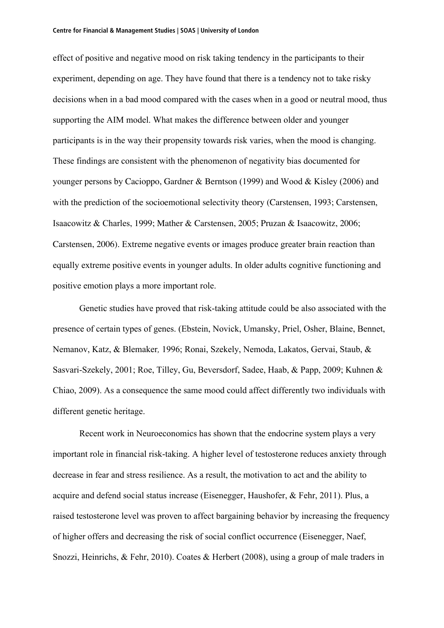effect of positive and negative mood on risk taking tendency in the participants to their experiment, depending on age. They have found that there is a tendency not to take risky decisions when in a bad mood compared with the cases when in a good or neutral mood, thus supporting the AIM model. What makes the difference between older and younger participants is in the way their propensity towards risk varies, when the mood is changing. These findings are consistent with the phenomenon of negativity bias documented for younger persons by Cacioppo, Gardner & Berntson (1999) and Wood & Kisley (2006) and with the prediction of the socioemotional selectivity theory (Carstensen, 1993; Carstensen, Isaacowitz & Charles, 1999; Mather & Carstensen, 2005; Pruzan & Isaacowitz, 2006; Carstensen, 2006). Extreme negative events or images produce greater brain reaction than equally extreme positive events in younger adults. In older adults cognitive functioning and positive emotion plays a more important role.

Genetic studies have proved that risk-taking attitude could be also associated with the presence of certain types of genes. (Ebstein, Novick, Umansky, Priel, Osher, Blaine, Bennet, Nemanov, Katz, & Blemaker*,* 1996; Ronai, Szekely, Nemoda, Lakatos, Gervai, Staub, & Sasvari-Szekely, 2001; Roe, Tilley, Gu, Beversdorf, Sadee, Haab, & Papp, 2009; Kuhnen & Chiao, 2009). As a consequence the same mood could affect differently two individuals with different genetic heritage.

Recent work in Neuroeconomics has shown that the endocrine system plays a very important role in financial risk-taking. A higher level of testosterone reduces anxiety through decrease in fear and stress resilience. As a result, the motivation to act and the ability to acquire and defend social status increase (Eisenegger, Haushofer, & Fehr, 2011). Plus, a raised testosterone level was proven to affect bargaining behavior by increasing the frequency of higher offers and decreasing the risk of social conflict occurrence (Eisenegger, Naef, Snozzi, Heinrichs, & Fehr, 2010). Coates & Herbert (2008), using a group of male traders in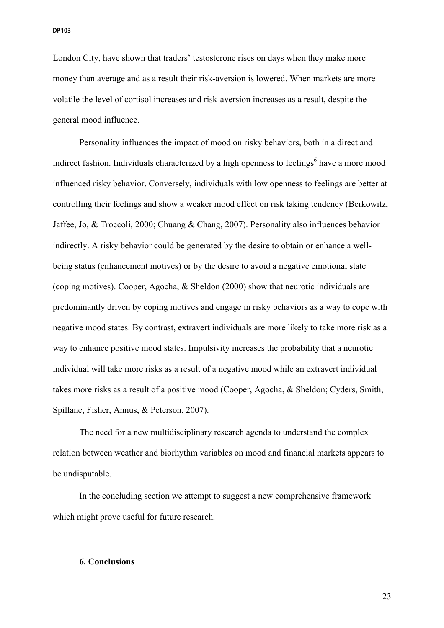London City, have shown that traders' testosterone rises on days when they make more money than average and as a result their risk-aversion is lowered. When markets are more volatile the level of cortisol increases and risk-aversion increases as a result, despite the general mood influence.

Personality influences the impact of mood on risky behaviors, both in a direct and indirect fashion. Individuals characterized by a high openness to feelings<sup>6</sup> have a more mood influenced risky behavior. Conversely, individuals with low openness to feelings are better at controlling their feelings and show a weaker mood effect on risk taking tendency (Berkowitz, Jaffee, Jo, & Troccoli, 2000; Chuang & Chang, 2007). Personality also influences behavior indirectly. A risky behavior could be generated by the desire to obtain or enhance a wellbeing status (enhancement motives) or by the desire to avoid a negative emotional state (coping motives). Cooper, Agocha, & Sheldon (2000) show that neurotic individuals are predominantly driven by coping motives and engage in risky behaviors as a way to cope with negative mood states. By contrast, extravert individuals are more likely to take more risk as a way to enhance positive mood states. Impulsivity increases the probability that a neurotic individual will take more risks as a result of a negative mood while an extravert individual takes more risks as a result of a positive mood (Cooper, Agocha, & Sheldon; Cyders, Smith, Spillane, Fisher, Annus, & Peterson, 2007).

The need for a new multidisciplinary research agenda to understand the complex relation between weather and biorhythm variables on mood and financial markets appears to be undisputable.

In the concluding section we attempt to suggest a new comprehensive framework which might prove useful for future research.

### **6. Conclusions**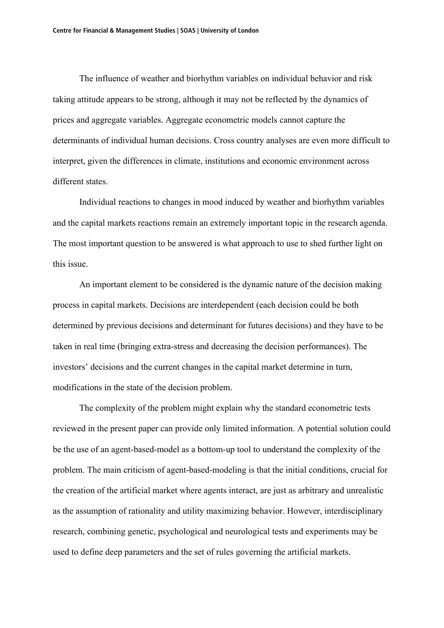The influence of weather and biorhythm variables on individual behavior and risk taking attitude appears to be strong, although it may not be reflected by the dynamics of prices and aggregate variables. Aggregate econometric models cannot capture the determinants of individual human decisions. Cross country analyses are even more difficult to interpret, given the differences in climate, institutions and economic environment across different states.

Individual reactions to changes in mood induced by weather and biorhythm variables and the capital markets reactions remain an extremely important topic in the research agenda. The most important question to be answered is what approach to use to shed further light on this issue.

An important element to be considered is the dynamic nature of the decision making process in capital markets. Decisions are interdependent (each decision could be both determined by previous decisions and determinant for futures decisions) and they have to be taken in real time (bringing extra-stress and decreasing the decision performances). The investors' decisions and the current changes in the capital market determine in turn, modifications in the state of the decision problem.

The complexity of the problem might explain why the standard econometric tests reviewed in the present paper can provide only limited information. A potential solution could be the use of an agent-based-model as a bottom-up tool to understand the complexity of the problem. The main criticism of agent-based-modeling is that the initial conditions, crucial for the creation of the artificial market where agents interact, are just as arbitrary and unrealistic as the assumption of rationality and utility maximizing behavior. However, interdisciplinary research, combining genetic, psychological and neurological tests and experiments may be used to define deep parameters and the set of rules governing the artificial markets.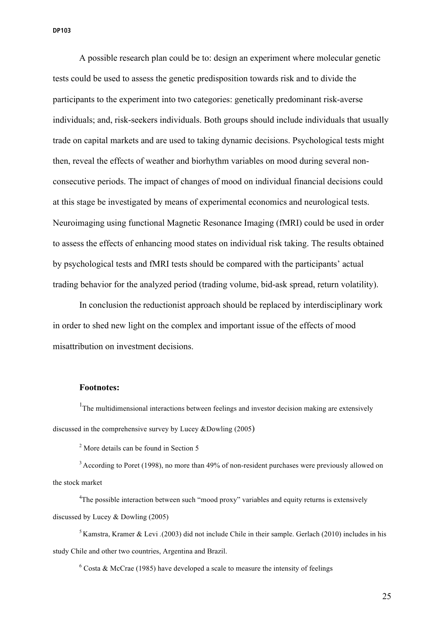A possible research plan could be to: design an experiment where molecular genetic tests could be used to assess the genetic predisposition towards risk and to divide the participants to the experiment into two categories: genetically predominant risk-averse individuals; and, risk-seekers individuals. Both groups should include individuals that usually trade on capital markets and are used to taking dynamic decisions. Psychological tests might then, reveal the effects of weather and biorhythm variables on mood during several nonconsecutive periods. The impact of changes of mood on individual financial decisions could at this stage be investigated by means of experimental economics and neurological tests. Neuroimaging using functional Magnetic Resonance Imaging (fMRI) could be used in order to assess the effects of enhancing mood states on individual risk taking. The results obtained by psychological tests and fMRI tests should be compared with the participants' actual trading behavior for the analyzed period (trading volume, bid-ask spread, return volatility).

In conclusion the reductionist approach should be replaced by interdisciplinary work in order to shed new light on the complex and important issue of the effects of mood misattribution on investment decisions.

# **Footnotes:**

<sup>1</sup>The multidimensional interactions between feelings and investor decision making are extensively discussed in the comprehensive survey by Lucey &Dowling (2005)

<sup>2</sup> More details can be found in Section 5

<sup>3</sup> According to Poret (1998), no more than 49% of non-resident purchases were previously allowed on the stock market

<sup>4</sup>The possible interaction between such "mood proxy" variables and equity returns is extensively discussed by Lucey & Dowling (2005)

<sup>5</sup> Kamstra, Kramer & Levi *.*(2003) did not include Chile in their sample. Gerlach (2010) includes in his study Chile and other two countries, Argentina and Brazil.

 $6$  Costa & McCrae (1985) have developed a scale to measure the intensity of feelings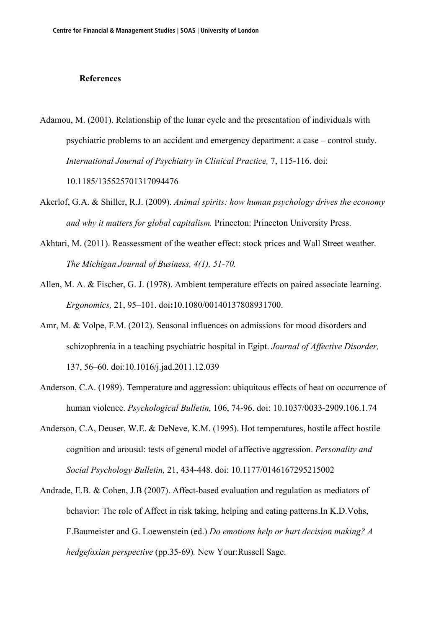# **References**

Adamou, M. (2001). Relationship of the lunar cycle and the presentation of individuals with psychiatric problems to an accident and emergency department: a case – control study. *International Journal of Psychiatry in Clinical Practice,* 7, 115-116. doi:

10.1185/135525701317094476

- Akerlof, G.A. & Shiller, R.J. (2009). *Animal spirits: how human psychology drives the economy and why it matters for global capitalism.* Princeton: Princeton University Press.
- Akhtari, M. (2011). Reassessment of the weather effect: stock prices and Wall Street weather. *The Michigan Journal of Business, 4(1), 51-70.*
- Allen, M. A. & Fischer, G. J. (1978). Ambient temperature effects on paired associate learning. *Ergonomics,* 21, 95–101. doi**:**10.1080/00140137808931700.
- Amr, M. & Volpe, F.M. (2012). Seasonal influences on admissions for mood disorders and schizophrenia in a teaching psychiatric hospital in Egipt. *Journal of Affective Disorder,*  137, 56–60. doi:10.1016/j.jad.2011.12.039
- Anderson, C.A. (1989). Temperature and aggression: ubiquitous effects of heat on occurrence of human violence. *Psychological Bulletin,* 106, 74-96. doi: 10.1037/0033-2909.106.1.74
- Anderson, C.A, Deuser, W.E. & DeNeve, K.M. (1995). Hot temperatures, hostile affect hostile cognition and arousal: tests of general model of affective aggression. *Personality and Social Psychology Bulletin,* 21, 434-448. doi: 10.1177/0146167295215002
- Andrade, E.B. & Cohen, J.B (2007). Affect-based evaluation and regulation as mediators of behavior: The role of Affect in risk taking, helping and eating patterns.In K.D.Vohs, F.Baumeister and G. Loewenstein (ed.) *Do emotions help or hurt decision making? A hedgefoxian perspective* (pp.35-69)*.* New Your:Russell Sage.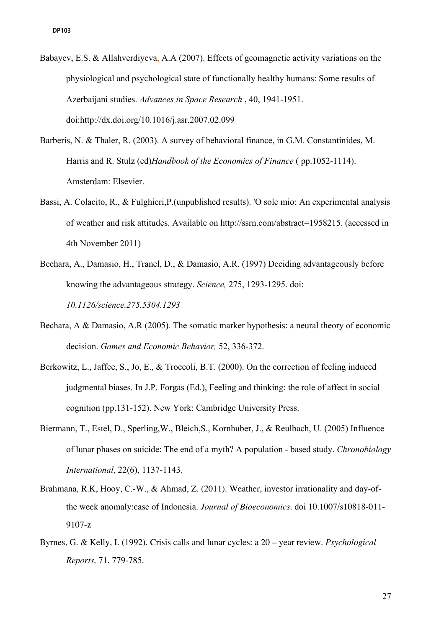- Babayev, E.S. & Allahverdiyeva, A.A (2007). Effects of geomagnetic activity variations on the physiological and psychological state of functionally healthy humans: Some results of Azerbaijani studies. *Advances in Space Research* , 40, 1941-1951. doi:http://dx.doi.org/10.1016/j.asr.2007.02.099
- Barberis, N. & Thaler, R. (2003). A survey of behavioral finance, in G.M. Constantinides, M. Harris and R. Stulz (ed)*Handbook of the Economics of Finance* ( pp.1052-1114). Amsterdam: Elsevier.
- Bassi, A. Colacito, R., & Fulghieri,P.(unpublished results). 'O sole mio: An experimental analysis of weather and risk attitudes. Available on http://ssrn.com/abstract=1958215. (accessed in 4th November 2011)
- Bechara, A., Damasio, H., Tranel, D., & Damasio, A.R. (1997) Deciding advantageously before knowing the advantageous strategy. *Science,* 275, 1293-1295. doi: *10.1126/science.275.5304.1293*
- Bechara, A & Damasio, A.R (2005). The somatic marker hypothesis: a neural theory of economic decision. *Games and Economic Behavior,* 52, 336-372.
- Berkowitz, L., Jaffee, S., Jo, E., & Troccoli, B.T. (2000). On the correction of feeling induced judgmental biases. In J.P. Forgas (Ed.), Feeling and thinking: the role of affect in social cognition (pp.131-152). New York: Cambridge University Press.
- Biermann, T., Estel, D., Sperling,W., Bleich,S., Kornhuber, J., & Reulbach, U. (2005) Influence of lunar phases on suicide: The end of a myth? A population - based study. *Chronobiology International*, 22(6), 1137-1143.
- Brahmana, R.K, Hooy, C.-W., & Ahmad, Z. (2011). Weather, investor irrationality and day-ofthe week anomaly:case of Indonesia. *Journal of Bioeconomics.* doi 10.1007/s10818-011- 9107-z
- Byrnes, G. & Kelly, I. (1992). Crisis calls and lunar cycles: a 20 year review. *Psychological Reports,* 71, 779-785.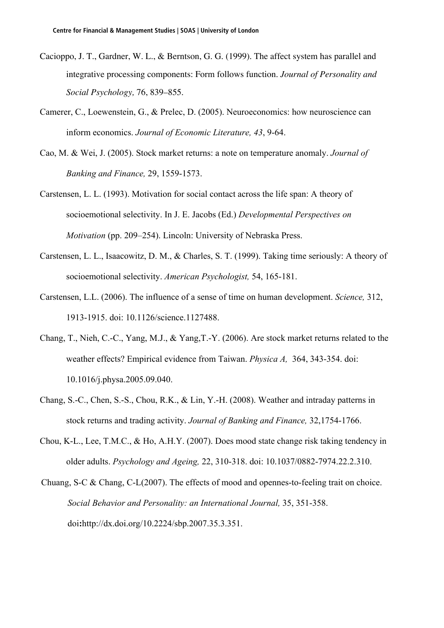- Cacioppo, J. T., Gardner, W. L., & Berntson, G. G. (1999). The affect system has parallel and integrative processing components: Form follows function. *Journal of Personality and Social Psychology,* 76, 839–855.
- Camerer, C., Loewenstein, G., & Prelec, D. (2005). Neuroeconomics: how neuroscience can inform economics. *Journal of Economic Literature, 43*, 9-64.
- Cao, M. & Wei, J. (2005). Stock market returns: a note on temperature anomaly. *Journal of Banking and Finance,* 29, 1559-1573.
- Carstensen, L. L. (1993). Motivation for social contact across the life span: A theory of socioemotional selectivity. In J. E. Jacobs (Ed.) *Developmental Perspectives on Motivation* (pp. 209–254). Lincoln: University of Nebraska Press.
- Carstensen, L. L., Isaacowitz, D. M., & Charles, S. T. (1999). Taking time seriously: A theory of socioemotional selectivity. *American Psychologist,* 54, 165-181.
- Carstensen, L.L. (2006). The influence of a sense of time on human development. *Science,* 312, 1913-1915. doi: 10.1126/science.1127488.
- Chang, T., Nieh, C.-C., Yang, M.J., & Yang,T.-Y. (2006). Are stock market returns related to the weather effects? Empirical evidence from Taiwan. *Physica A,* 364, 343-354. doi: 10.1016/j.physa.2005.09.040.
- Chang, S.-C., Chen, S.-S., Chou, R.K., & Lin, Y.-H. (2008). Weather and intraday patterns in stock returns and trading activity. *Journal of Banking and Finance,* 32,1754-1766.
- Chou, K-L., Lee, T.M.C., & Ho, A.H.Y. (2007). Does mood state change risk taking tendency in older adults. *Psychology and Ageing,* 22, 310-318. doi: 10.1037/0882-7974.22.2.310.
- Chuang, S-C & Chang, C-L(2007). The effects of mood and opennes-to-feeling trait on choice. *Social Behavior and Personality: an International Journal,* 35, 351-358. doi**:**http://dx.doi.org/10.2224/sbp.2007.35.3.351.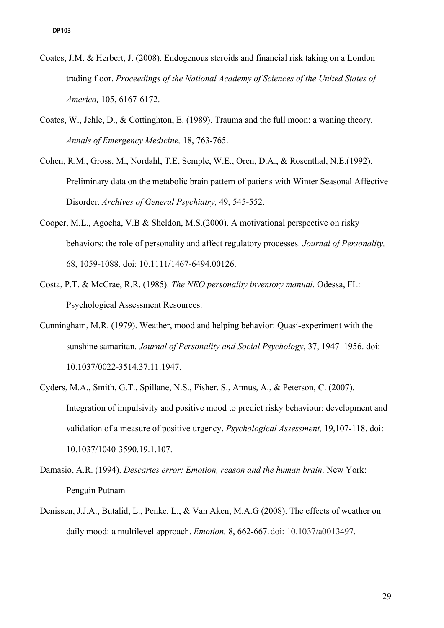- Coates, J.M. & Herbert, J. (2008). Endogenous steroids and financial risk taking on a London trading floor. *Proceedings of the National Academy of Sciences of the United States of America,* 105, 6167-6172.
- Coates, W., Jehle, D., & Cottinghton, E. (1989). Trauma and the full moon: a waning theory. *Annals of Emergency Medicine,* 18, 763-765.
- Cohen, R.M., Gross, M., Nordahl, T.E, Semple, W.E., Oren, D.A., & Rosenthal, N.E.(1992). Preliminary data on the metabolic brain pattern of patiens with Winter Seasonal Affective Disorder. *Archives of General Psychiatry,* 49, 545-552.
- Cooper, M.L., Agocha, V.B & Sheldon, M.S.(2000). A motivational perspective on risky behaviors: the role of personality and affect regulatory processes. *Journal of Personality,*  68, 1059-1088. doi: 10.1111/1467-6494.00126.
- Costa, P.T. & McCrae, R.R. (1985). *The NEO personality inventory manual*. Odessa, FL: Psychological Assessment Resources.
- Cunningham, M.R. (1979). Weather, mood and helping behavior: Quasi-experiment with the sunshine samaritan. *Journal of Personality and Social Psychology*, 37, 1947–1956. doi: 10.1037/0022-3514.37.11.1947.
- Cyders, M.A., Smith, G.T., Spillane, N.S., Fisher, S., Annus, A., & Peterson, C. (2007). Integration of impulsivity and positive mood to predict risky behaviour: development and validation of a measure of positive urgency. *Psychological Assessment,* 19,107-118. doi: 10.1037/1040-3590.19.1.107.
- Damasio, A.R. (1994). *Descartes error: Emotion, reason and the human brain*. New York: Penguin Putnam
- Denissen, J.J.A., Butalid, L., Penke, L., & Van Aken, M.A.G (2008). The effects of weather on daily mood: a multilevel approach. *Emotion,* 8, 662-667.doi: 10.1037/a0013497.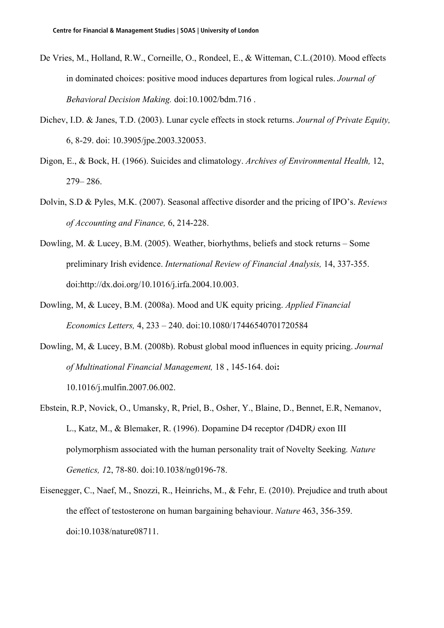- De Vries, M., Holland, R.W., Corneille, O., Rondeel, E., & Witteman, C.L.(2010). Mood effects in dominated choices: positive mood induces departures from logical rules. *Journal of Behavioral Decision Making.* doi:10.1002/bdm.716 .
- Dichev, I.D. & Janes, T.D. (2003). Lunar cycle effects in stock returns. *Journal of Private Equity,*  6, 8-29. doi: 10.3905/jpe.2003.320053.
- Digon, E., & Bock, H. (1966). Suicides and climatology. *Archives of Environmental Health,* 12, 279– 286.
- Dolvin, S.D & Pyles, M.K. (2007). Seasonal affective disorder and the pricing of IPO's. *Reviews of Accounting and Finance,* 6, 214-228.
- Dowling, M. & Lucey, B.M. (2005). Weather, biorhythms, beliefs and stock returns Some preliminary Irish evidence. *International Review of Financial Analysis,* 14, 337-355. doi:http://dx.doi.org/10.1016/j.irfa.2004.10.003.
- Dowling, M, & Lucey, B.M. (2008a). Mood and UK equity pricing. *Applied Financial Economics Letters,* 4, 233 – 240. doi:10.1080/17446540701720584
- Dowling, M, & Lucey, B.M. (2008b). Robust global mood influences in equity pricing. *Journal of Multinational Financial Management,* 18 , 145-164. doi**:**  10.1016/j.mulfin.2007.06.002.
- Ebstein, R.P, Novick, O., Umansky, R, Priel, B., Osher, Y., Blaine, D., Bennet, E.R, Nemanov, L., Katz, M., & Blemaker, R. (1996). Dopamine D4 receptor *(*D4DR*)* exon III polymorphism associated with the human personality trait of Novelty Seeking*. Nature Genetics, 1*2, 78-80. doi:10.1038/ng0196-78.
- Eisenegger, C., Naef, M., Snozzi, R., Heinrichs, M., & Fehr, E. (2010). Prejudice and truth about the effect of testosterone on human bargaining behaviour. *Nature* 463, 356-359. doi:10.1038/nature08711.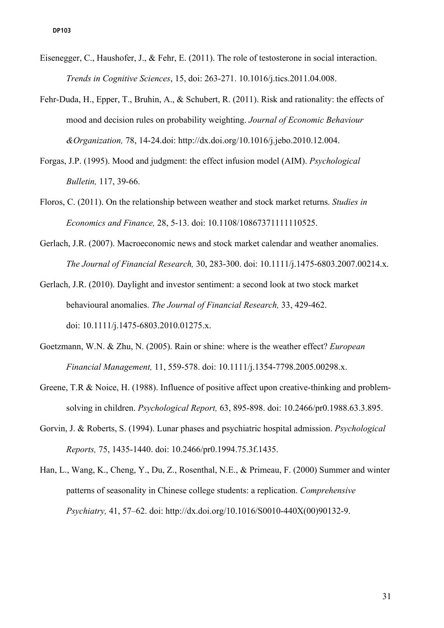- Eisenegger, C., Haushofer, J., & Fehr, E. (2011). The role of testosterone in social interaction. *Trends in Cognitive Sciences*, 15, doi: 263-271. 10.1016/j.tics.2011.04.008.
- Fehr-Duda, H., Epper, T., Bruhin, A., & Schubert, R. (2011). Risk and rationality: the effects of mood and decision rules on probability weighting. *Journal of Economic Behaviour &Organization,* 78, 14-24.doi: http://dx.doi.org/10.1016/j.jebo.2010.12.004.
- Forgas, J.P. (1995). Mood and judgment: the effect infusion model (AIM). *Psychological Bulletin,* 117, 39-66.
- Floros, C. (2011). On the relationship between weather and stock market returns. *Studies in Economics and Finance,* 28, 5-13. doi: 10.1108/10867371111110525.
- Gerlach, J.R. (2007). Macroeconomic news and stock market calendar and weather anomalies. *The Journal of Financial Research,* 30, 283-300. doi: 10.1111/j.1475-6803.2007.00214.x.
- Gerlach, J.R. (2010). Daylight and investor sentiment: a second look at two stock market behavioural anomalies. *The Journal of Financial Research,* 33, 429-462. doi: 10.1111/j.1475-6803.2010.01275.x.
- Goetzmann, W.N. & Zhu, N. (2005). Rain or shine: where is the weather effect? *European Financial Management,* 11, 559-578. doi: 10.1111/j.1354-7798.2005.00298.x.
- Greene, T.R & Noice, H. (1988). Influence of positive affect upon creative-thinking and problemsolving in children. *Psychological Report,* 63, 895-898. doi: 10.2466/pr0.1988.63.3.895.
- Gorvin, J. & Roberts, S. (1994). Lunar phases and psychiatric hospital admission. *Psychological Reports,* 75, 1435-1440. doi: 10.2466/pr0.1994.75.3f.1435.
- Han, L., Wang, K., Cheng, Y., Du, Z., Rosenthal, N.E., & Primeau, F. (2000) Summer and winter patterns of seasonality in Chinese college students: a replication. *Comprehensive Psychiatry,* 41, 57–62. doi: http://dx.doi.org/10.1016/S0010-440X(00)90132-9.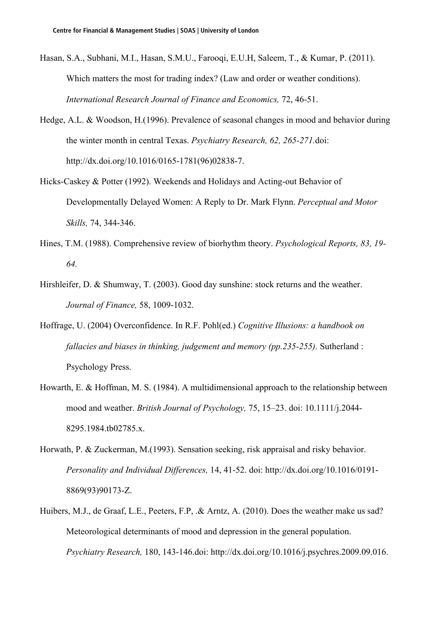- Hasan, S.A., Subhani, M.I., Hasan, S.M.U., Farooqi, E.U.H, Saleem, T., & Kumar, P. (2011). Which matters the most for trading index? (Law and order or weather conditions). *International Research Journal of Finance and Economics,* 72, 46-51.
- Hedge, A.L. & Woodson, H.(1996). Prevalence of seasonal changes in mood and behavior during the winter month in central Texas. *Psychiatry Research, 62, 265-271.*doi: http://dx.doi.org/10.1016/0165-1781(96)02838-7.
- Hicks-Caskey & Potter (1992). Weekends and Holidays and Acting-out Behavior of Developmentally Delayed Women: A Reply to Dr. Mark Flynn. *Perceptual and Motor Skills,* 74, 344-346.
- Hines, T.M. (1988). Comprehensive review of biorhythm theory. *Psychological Reports, 83, 19- 64.*
- Hirshleifer, D. & Shumway, T. (2003). Good day sunshine: stock returns and the weather. *Journal of Finance,* 58, 1009-1032.
- Hoffrage, U. (2004) Overconfidence. In R.F. Pohl(ed.) *Cognitive Illusions: a handbook on fallacies and biases in thinking, judgement and memory (pp.235-255).* Sutherland : Psychology Press.
- Howarth, E. & Hoffman, M. S. (1984). A multidimensional approach to the relationship between mood and weather. *British Journal of Psychology,* 75, 15–23. doi: 10.1111/j.2044- 8295.1984.tb02785.x.
- Horwath, P. & Zuckerman, M.(1993). Sensation seeking, risk appraisal and risky behavior. *Personality and Individual Differences,* 14, 41-52. doi: http://dx.doi.org/10.1016/0191- 8869(93)90173-Z.
- Huibers, M.J., de Graaf, L.E., Peeters, F.P, .& Arntz, A. (2010). Does the weather make us sad? Meteorological determinants of mood and depression in the general population. *Psychiatry Research,* 180, 143-146.doi: http://dx.doi.org/10.1016/j.psychres.2009.09.016.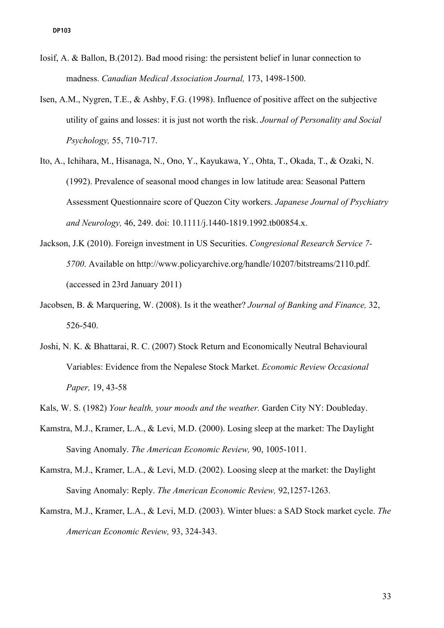- Iosif, A. & Ballon, B.(2012). Bad mood rising: the persistent belief in lunar connection to madness. *Canadian Medical Association Journal,* 173, 1498-1500.
- Isen, A.M., Nygren, T.E., & Ashby, F.G. (1998). Influence of positive affect on the subjective utility of gains and losses: it is just not worth the risk. *Journal of Personality and Social Psychology,* 55, 710-717.
- Ito, A., Ichihara, M., Hisanaga, N., Ono, Y., Kayukawa, Y., Ohta, T., Okada, T., & Ozaki, N. (1992). Prevalence of seasonal mood changes in low latitude area: Seasonal Pattern Assessment Questionnaire score of Quezon City workers. *Japanese Journal of Psychiatry and Neurology,* 46, 249. doi: 10.1111/j.1440-1819.1992.tb00854.x.
- Jackson, J.K (2010). Foreign investment in US Securities. *Congresional Research Service 7- 5700*. Available on http://www.policyarchive.org/handle/10207/bitstreams/2110.pdf. (accessed in 23rd January 2011)
- Jacobsen, B. & Marquering, W. (2008). Is it the weather? *Journal of Banking and Finance,* 32, 526-540.
- Joshi, N. K. & Bhattarai, R. C. (2007) Stock Return and Economically Neutral Behavioural Variables: Evidence from the Nepalese Stock Market. *Economic Review Occasional Paper,* 19, 43-58
- Kals, W. S. (1982) *Your health, your moods and the weather.* Garden City NY: Doubleday.
- Kamstra, M.J., Kramer, L.A., & Levi, M.D. (2000). Losing sleep at the market: The Daylight Saving Anomaly. *The American Economic Review,* 90, 1005-1011.
- Kamstra, M.J., Kramer, L.A., & Levi, M.D. (2002). Loosing sleep at the market: the Daylight Saving Anomaly: Reply. *The American Economic Review,* 92,1257-1263.
- Kamstra, M.J., Kramer, L.A., & Levi, M.D. (2003). Winter blues: a SAD Stock market cycle. *The American Economic Review,* 93, 324-343.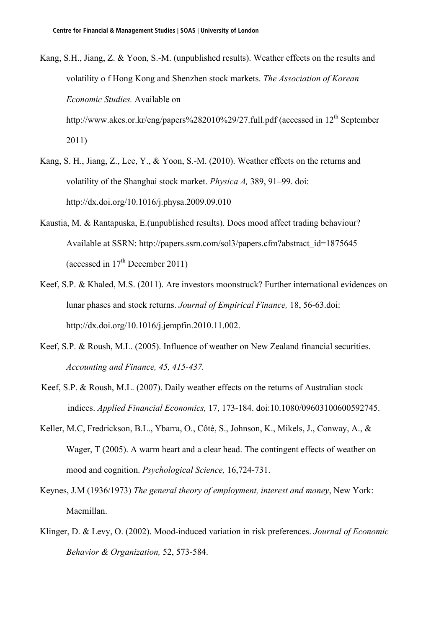- Kang, S.H., Jiang, Z. & Yoon, S.-M. (unpublished results). Weather effects on the results and volatility o f Hong Kong and Shenzhen stock markets. *The Association of Korean Economic Studies.* Available on http://www.akes.or.kr/eng/papers%282010%29/27.full.pdf (accessed in 12<sup>th</sup> September 2011)
- Kang, S. H., Jiang, Z., Lee, Y., & Yoon, S.-M. (2010). Weather effects on the returns and volatility of the Shanghai stock market. *Physica A,* 389, 91–99. doi: http://dx.doi.org/10.1016/j.physa.2009.09.010
- Kaustia, M. & Rantapuska, E.(unpublished results). Does mood affect trading behaviour? Available at SSRN: http://papers.ssrn.com/sol3/papers.cfm?abstract\_id=1875645 (accessed in  $17<sup>th</sup>$  December 2011)
- Keef, S.P. & Khaled, M.S. (2011). Are investors moonstruck? Further international evidences on lunar phases and stock returns. *Journal of Empirical Finance,* 18, 56-63.doi: http://dx.doi.org/10.1016/j.jempfin.2010.11.002.
- Keef, S.P. & Roush, M.L. (2005). Influence of weather on New Zealand financial securities. *Accounting and Finance, 45, 415-437.*
- Keef, S.P. & Roush, M.L. (2007). Daily weather effects on the returns of Australian stock indices. *Applied Financial Economics,* 17, 173-184. doi:10.1080/09603100600592745.
- Keller, M.C, Fredrickson, B.L., Ybarra, O., Côté, S., Johnson, K., Mikels, J., Conway, A., & Wager, T (2005). A warm heart and a clear head. The contingent effects of weather on mood and cognition. *Psychological Science,* 16,724-731.
- Keynes, J.M (1936/1973) *The general theory of employment, interest and money*, New York: Macmillan.
- Klinger, D. & Levy, O. (2002). Mood-induced variation in risk preferences. *Journal of Economic Behavior & Organization,* 52, 573-584.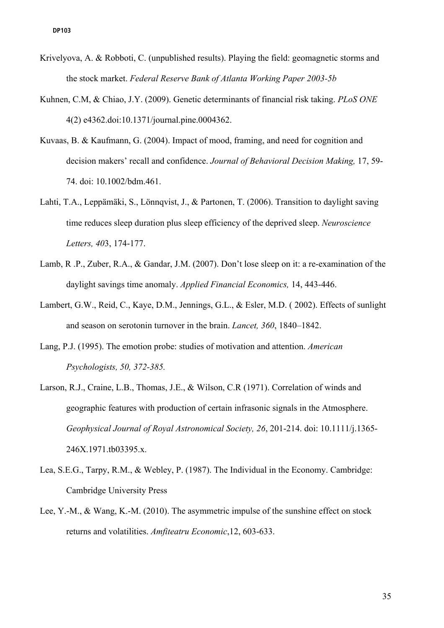- Krivelyova, A. & Robboti, C. (unpublished results). Playing the field: geomagnetic storms and the stock market. *Federal Reserve Bank of Atlanta Working Paper 2003-5b*
- Kuhnen, C.M, & Chiao, J.Y. (2009). Genetic determinants of financial risk taking. *PLoS ONE* 4(2) e4362.doi:10.1371/journal.pine.0004362.
- Kuvaas, B. & Kaufmann, G. (2004). Impact of mood, framing, and need for cognition and decision makers' recall and confidence. *Journal of Behavioral Decision Making,* 17, 59- 74. doi: 10.1002/bdm.461.
- Lahti, T.A., Leppämäki, S., Lönnqvist, J., & Partonen, T. (2006). Transition to daylight saving time reduces sleep duration plus sleep efficiency of the deprived sleep. *Neuroscience Letters, 40*3, 174-177.
- Lamb, R .P., Zuber, R.A., & Gandar, J.M. (2007). Don't lose sleep on it: a re-examination of the daylight savings time anomaly. *Applied Financial Economics,* 14, 443-446.
- Lambert, G.W., Reid, C., Kaye, D.M., Jennings, G.L., & Esler, M.D. ( 2002). Effects of sunlight and season on serotonin turnover in the brain. *Lancet, 360*, 1840–1842.
- Lang, P.J. (1995). The emotion probe: studies of motivation and attention. *American Psychologists, 50, 372-385.*
- Larson, R.J., Craine, L.B., Thomas, J.E., & Wilson, C.R (1971). Correlation of winds and geographic features with production of certain infrasonic signals in the Atmosphere. *Geophysical Journal of Royal Astronomical Society, 26*, 201-214. doi: 10.1111/j.1365- 246X.1971.tb03395.x.
- Lea, S.E.G., Tarpy, R.M., & Webley, P. (1987). The Individual in the Economy. Cambridge: Cambridge University Press
- Lee, Y.-M., & Wang, K.-M. (2010). The asymmetric impulse of the sunshine effect on stock returns and volatilities. *Amfiteatru Economic*,12, 603-633.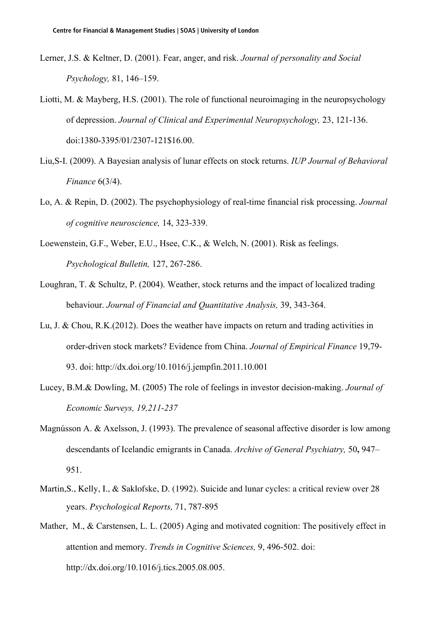- Lerner, J.S. & Keltner, D. (2001). Fear, anger, and risk. *Journal of personality and Social Psychology,* 81, 146–159.
- Liotti, M. & Mayberg, H.S. (2001). The role of functional neuroimaging in the neuropsychology of depression. *Journal of Clinical and Experimental Neuropsychology,* 23, 121-136. doi:1380-3395/01/2307-121\$16.00.
- Liu,S-I. (2009). A Bayesian analysis of lunar effects on stock returns. *IUP Journal of Behavioral Finance* 6(3/4).
- Lo, A. & Repin, D. (2002). The psychophysiology of real-time financial risk processing. *Journal of cognitive neuroscience,* 14, 323-339.
- Loewenstein, G.F., Weber, E.U., Hsee, C.K., & Welch, N. (2001). Risk as feelings. *Psychological Bulletin,* 127, 267-286.
- Loughran, T. & Schultz, P. (2004). Weather, stock returns and the impact of localized trading behaviour. *Journal of Financial and Quantitative Analysis,* 39, 343-364.
- Lu, J. & Chou, R.K.(2012). Does the weather have impacts on return and trading activities in order-driven stock markets? Evidence from China. *Journal of Empirical Finance* 19,79- 93. doi: http://dx.doi.org/10.1016/j.jempfin.2011.10.001
- Lucey, B.M.& Dowling, M. (2005) The role of feelings in investor decision-making. *Journal of Economic Surveys, 19,211-237*
- Magnússon A. & Axelsson, J. (1993). The prevalence of seasonal affective disorder is low among descendants of Icelandic emigrants in Canada. *Archive of General Psychiatry,* 50**,** 947– 951.
- Martin,S., Kelly, I., & Saklofske, D. (1992). Suicide and lunar cycles: a critical review over 28 years. *Psychological Reports,* 71, 787-895
- Mather, M., & Carstensen, L. L. (2005) Aging and motivated cognition: The positively effect in attention and memory. *Trends in Cognitive Sciences,* 9, 496-502. doi: http://dx.doi.org/10.1016/j.tics.2005.08.005.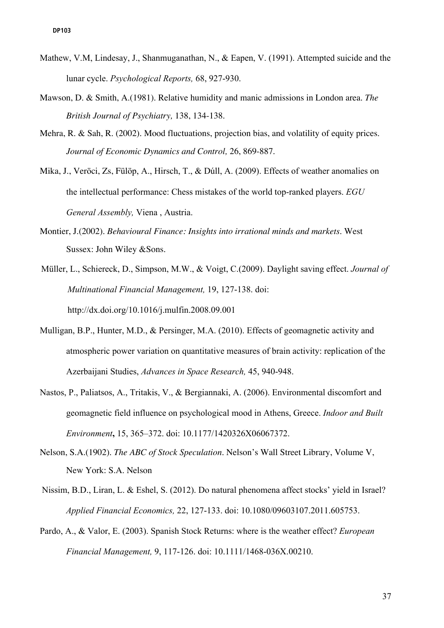- Mathew, V.M, Lindesay, J., Shanmuganathan, N., & Eapen, V. (1991). Attempted suicide and the lunar cycle. *Psychological Reports,* 68, 927-930.
- Mawson, D. & Smith, A.(1981). Relative humidity and manic admissions in London area. *The British Journal of Psychiatry,* 138, 134-138.
- Mehra, R. & Sah, R. (2002). Mood fluctuations, projection bias, and volatility of equity prices. *Journal of Economic Dynamics and Control,* 26, 869-887.
- Mika, J., Veröci, Zs, Fülöp, A., Hirsch, T., & Dúll, A. (2009). Effects of weather anomalies on the intellectual performance: Chess mistakes of the world top-ranked players. *EGU General Assembly,* Viena , Austria.
- Montier, J.(2002). *Behavioural Finance: Insights into irrational minds and markets.* West Sussex: John Wiley &Sons.
- Müller, L., Schiereck, D., Simpson, M.W., & Voigt, C.(2009). Daylight saving effect. *Journal of Multinational Financial Management,* 19, 127-138. doi: http://dx.doi.org/10.1016/j.mulfin.2008.09.001
- Mulligan, B.P., Hunter, M.D., & Persinger, M.A. (2010). Effects of geomagnetic activity and atmospheric power variation on quantitative measures of brain activity: replication of the Azerbaijani Studies, *Advances in Space Research,* 45, 940-948.
- Nastos, P., Paliatsos, A., Tritakis, V., & Bergiannaki, A. (2006). Environmental discomfort and geomagnetic field influence on psychological mood in Athens, Greece. *Indoor and Built Environment***,** 15, 365–372. doi: 10.1177/1420326X06067372.
- Nelson, S.A.(1902). *The ABC of Stock Speculation*. Nelson's Wall Street Library, Volume V, New York: S.A. Nelson
- Nissim, B.D., Liran, L. & Eshel, S. (2012). Do natural phenomena affect stocks' yield in Israel? *Applied Financial Economics,* 22, 127-133. doi: 10.1080/09603107.2011.605753.
- Pardo, A., & Valor, E. (2003). Spanish Stock Returns: where is the weather effect? *European Financial Management,* 9, 117-126. doi: 10.1111/1468-036X.00210.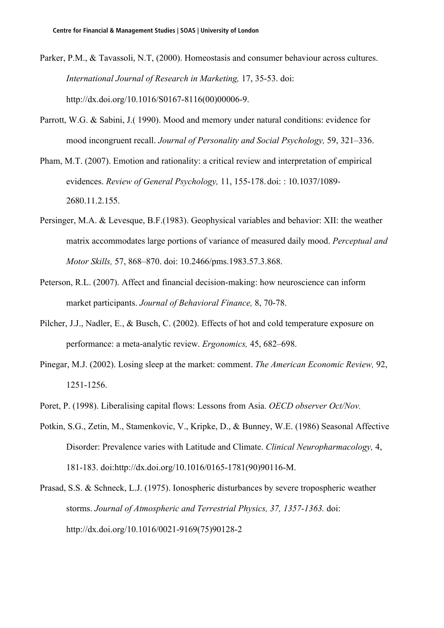- Parker, P.M., & Tavassoli, N.T, (2000). Homeostasis and consumer behaviour across cultures. *International Journal of Research in Marketing,* 17, 35-53. doi: http://dx.doi.org/10.1016/S0167-8116(00)00006-9.
- Parrott, W.G. & Sabini, J.( 1990). Mood and memory under natural conditions: evidence for mood incongruent recall. *Journal of Personality and Social Psychology,* 59, 321–336.
- Pham, M.T. (2007). Emotion and rationality: a critical review and interpretation of empirical evidences. *Review of General Psychology,* 11, 155-178.doi: : 10.1037/1089- 2680.11.2.155.
- Persinger, M.A. & Levesque, B.F.(1983). Geophysical variables and behavior: XII: the weather matrix accommodates large portions of variance of measured daily mood. *Perceptual and Motor Skills,* 57, 868–870. doi: 10.2466/pms.1983.57.3.868.
- Peterson, R.L. (2007). Affect and financial decision-making: how neuroscience can inform market participants. *Journal of Behavioral Finance,* 8, 70-78.
- Pilcher, J.J., Nadler, E., & Busch, C. (2002). Effects of hot and cold temperature exposure on performance: a meta-analytic review. *Ergonomics,* 45, 682–698.
- Pinegar, M.J. (2002). Losing sleep at the market: comment. *The American Economic Review,* 92, 1251-1256.
- Poret, P. (1998). Liberalising capital flows: Lessons from Asia. *OECD observer Oct/Nov.*
- Potkin, S.G., Zetin, M., Stamenkovic, V., Kripke, D., & Bunney, W.E. (1986) Seasonal Affective Disorder: Prevalence varies with Latitude and Climate. *Clinical Neuropharmacology,* 4, 181-183. doi:http://dx.doi.org/10.1016/0165-1781(90)90116-M.
- Prasad, S.S. & Schneck, L.J. (1975). Ionospheric disturbances by severe tropospheric weather storms. *Journal of Atmospheric and Terrestrial Physics, 37, 1357-1363.* doi: http://dx.doi.org/10.1016/0021-9169(75)90128-2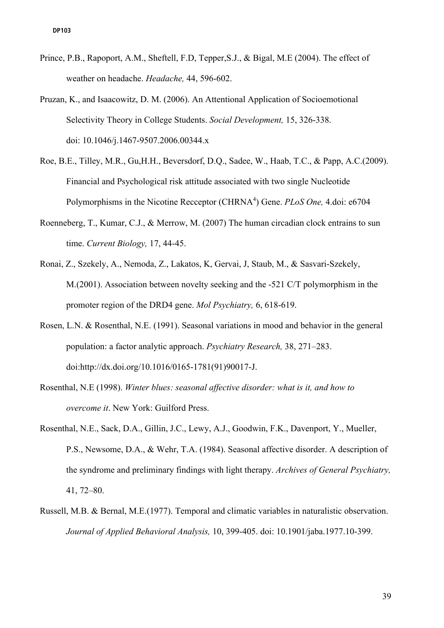- Prince, P.B., Rapoport, A.M., Sheftell, F.D, Tepper,S.J., & Bigal, M.E (2004). The effect of weather on headache. *Headache,* 44, 596-602.
- Pruzan, K., and Isaacowitz, D. M. (2006). An Attentional Application of Socioemotional Selectivity Theory in College Students. *Social Development,* 15, 326-338. doi: 10.1046/j.1467-9507.2006.00344.x
- Roe, B.E., Tilley, M.R., Gu,H.H., Beversdorf, D.Q., Sadee, W., Haab, T.C., & Papp, A.C.(2009). Financial and Psychological risk attitude associated with two single Nucleotide Polymorphisms in the Nicotine Recceptor (CHRNA<sup>4</sup>) Gene. *PLoS One*, 4.doi: e6704
- Roenneberg, T., Kumar, C.J., & Merrow, M. (2007) The human circadian clock entrains to sun time. *Current Biology,* 17, 44-45.
- Ronai, Z., Szekely, A., Nemoda, Z., Lakatos, K, Gervai, J, Staub, M., & Sasvari-Szekely, M.(2001). Association between novelty seeking and the -521 C/T polymorphism in the promoter region of the DRD4 gene. *Mol Psychiatry,* 6, 618-619.
- Rosen, L.N. & Rosenthal, N.E. (1991). Seasonal variations in mood and behavior in the general population: a factor analytic approach. *Psychiatry Research,* 38, 271–283. doi:http://dx.doi.org/10.1016/0165-1781(91)90017-J.
- Rosenthal, N.E (1998). *Winter blues: seasonal affective disorder: what is it, and how to overcome it*. New York: Guilford Press.
- Rosenthal, N.E., Sack, D.A., Gillin, J.C., Lewy, A.J., Goodwin, F.K., Davenport, Y., Mueller, P.S., Newsome, D.A., & Wehr, T.A. (1984). Seasonal affective disorder. A description of the syndrome and preliminary findings with light therapy. *Archives of General Psychiatry,* 41, 72–80.
- Russell, M.B. & Bernal, M.E.(1977). Temporal and climatic variables in naturalistic observation. *Journal of Applied Behavioral Analysis,* 10, 399-405. doi: 10.1901/jaba.1977.10-399.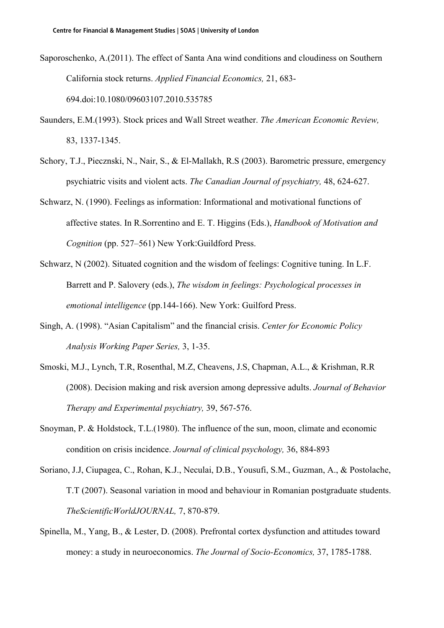- Saporoschenko, A.(2011). The effect of Santa Ana wind conditions and cloudiness on Southern California stock returns. *Applied Financial Economics,* 21, 683- 694.doi:10.1080/09603107.2010.535785
- Saunders, E.M.(1993). Stock prices and Wall Street weather. *The American Economic Review,* 83, 1337-1345.
- Schory, T.J., Piecznski, N., Nair, S., & El-Mallakh, R.S (2003). Barometric pressure, emergency psychiatric visits and violent acts. *The Canadian Journal of psychiatry,* 48, 624-627.
- Schwarz, N. (1990). Feelings as information: Informational and motivational functions of affective states. In R.Sorrentino and E. T. Higgins (Eds.), *Handbook of Motivation and Cognition* (pp. 527–561) New York:Guildford Press.
- Schwarz, N (2002). Situated cognition and the wisdom of feelings: Cognitive tuning. In L.F. Barrett and P. Salovery (eds.), *The wisdom in feelings: Psychological processes in emotional intelligence* (pp.144-166). New York: Guilford Press.
- Singh, A. (1998). "Asian Capitalism" and the financial crisis. *Center for Economic Policy Analysis Working Paper Series,* 3, 1-35.
- Smoski, M.J., Lynch, T.R, Rosenthal, M.Z, Cheavens, J.S, Chapman, A.L., & Krishman, R.R (2008). Decision making and risk aversion among depressive adults. *Journal of Behavior Therapy and Experimental psychiatry,* 39, 567-576.
- Snoyman, P. & Holdstock, T.L.(1980). The influence of the sun, moon, climate and economic condition on crisis incidence. *Journal of clinical psychology,* 36, 884-893
- Soriano, J.J, Ciupagea, C., Rohan, K.J., Neculai, D.B., Yousufi, S.M., Guzman, A., & Postolache, T.T (2007). Seasonal variation in mood and behaviour in Romanian postgraduate students. *TheScientificWorldJOURNAL,* 7, 870-879.
- Spinella, M., Yang, B., & Lester, D. (2008). Prefrontal cortex dysfunction and attitudes toward money: a study in neuroeconomics. *The Journal of Socio-Economics,* 37, 1785-1788.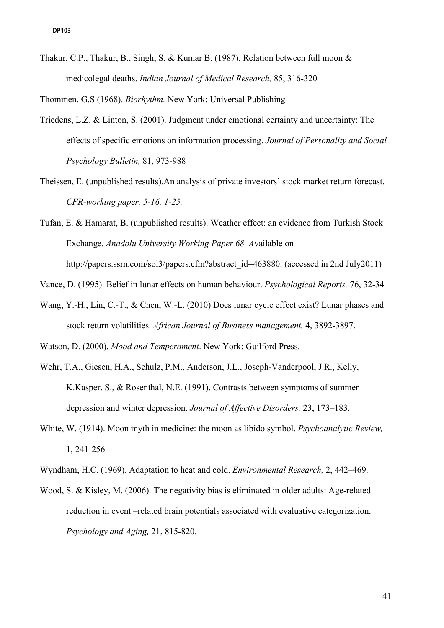Thakur, C.P., Thakur, B., Singh, S. & Kumar B. (1987). Relation between full moon & medicolegal deaths. *Indian Journal of Medical Research,* 85, 316-320

Thommen, G.S (1968). *Biorhythm.* New York: Universal Publishing

- Triedens, L.Z. & Linton, S. (2001). Judgment under emotional certainty and uncertainty: The effects of specific emotions on information processing. *Journal of Personality and Social Psychology Bulletin,* 81, 973-988
- Theissen, E. (unpublished results).An analysis of private investors' stock market return forecast. *CFR-working paper, 5-16, 1-25.*
- Tufan, E. & Hamarat, B. (unpublished results). Weather effect: an evidence from Turkish Stock Exchange. *Anadolu University Working Paper 68. A*vailable on http://papers.ssrn.com/sol3/papers.cfm?abstract\_id=463880. (accessed in 2nd July2011)

Vance, D. (1995). Belief in lunar effects on human behaviour. *Psychological Reports,* 76, 32-34

Wang, Y.-H., Lin, C.-T., & Chen, W.-L. (2010) Does lunar cycle effect exist? Lunar phases and stock return volatilities. *African Journal of Business management,* 4, 3892-3897.

Watson, D. (2000). *Mood and Temperament*. New York: Guilford Press.

- Wehr, T.A., Giesen, H.A., Schulz, P.M., Anderson, J.L., Joseph-Vanderpool, J.R., Kelly, K.Kasper, S., & Rosenthal, N.E. (1991). Contrasts between symptoms of summer depression and winter depression. *Journal of Affective Disorders,* 23, 173–183.
- White, W. (1914). Moon myth in medicine: the moon as libido symbol. *Psychoanalytic Review,*  1, 241-256
- Wyndham, H.C. (1969). Adaptation to heat and cold. *Environmental Research,* 2, 442–469.
- Wood, S. & Kisley, M. (2006). The negativity bias is eliminated in older adults: Age-related reduction in event –related brain potentials associated with evaluative categorization. *Psychology and Aging,* 21, 815-820.